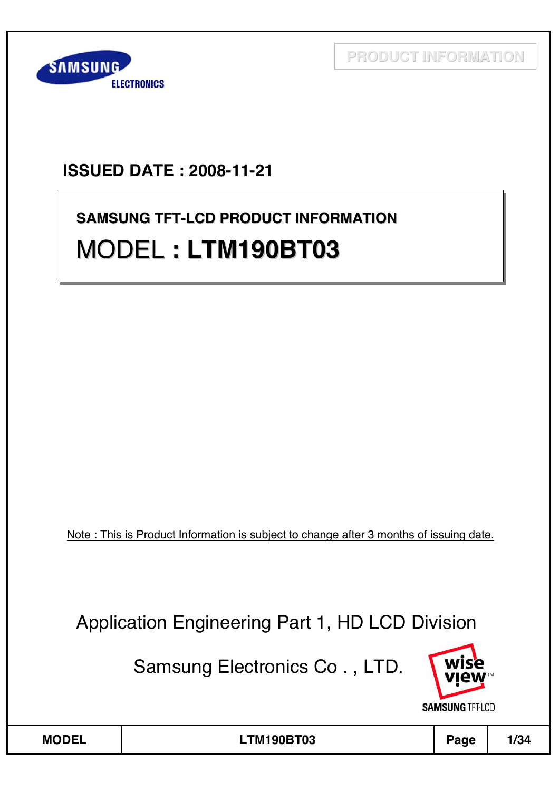

# **ISSUED DATE : 2008-11-21**

# **SAMSUNG TFT-LCD PRODUCT INFORMATION SAMSUNG TFT SAMSUNG TFT-LCD PRODUCT INFORMATION** MODEL **: LTM190BT03** MODEL **: LTM190BT03 : LTM190BT03**

Note : This is Product Information is subject to change after 3 months of issuing date.

Application Engineering Part 1, HD LCD Division

Samsung Electronics Co . , LTD.

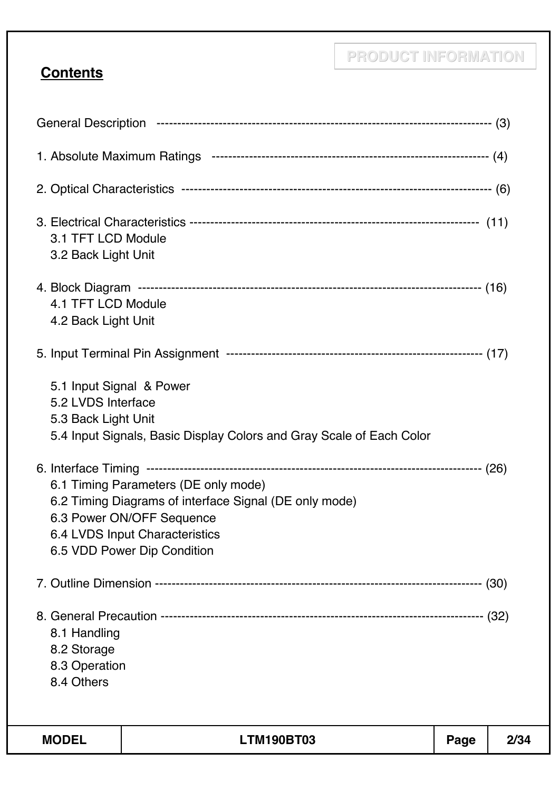# **Contents**

| 3.1 TFT LCD Module<br>3.2 Back Light Unit                             |                                                                                                                                                                                              |      |      |
|-----------------------------------------------------------------------|----------------------------------------------------------------------------------------------------------------------------------------------------------------------------------------------|------|------|
| 4.1 TFT LCD Module<br>4.2 Back Light Unit                             |                                                                                                                                                                                              |      |      |
|                                                                       |                                                                                                                                                                                              |      |      |
| 5.1 Input Signal & Power<br>5.2 LVDS Interface<br>5.3 Back Light Unit | 5.4 Input Signals, Basic Display Colors and Gray Scale of Each Color                                                                                                                         |      |      |
|                                                                       | 6.1 Timing Parameters (DE only mode)<br>6.2 Timing Diagrams of interface Signal (DE only mode)<br>6.3 Power ON/OFF Sequence<br>6.4 LVDS Input Characteristics<br>6.5 VDD Power Dip Condition |      |      |
|                                                                       |                                                                                                                                                                                              |      |      |
| 8.1 Handling<br>8.2 Storage<br>8.3 Operation<br>8.4 Others            |                                                                                                                                                                                              |      |      |
| <b>MODEL</b>                                                          | <b>LTM190BT03</b>                                                                                                                                                                            | Page | 2/34 |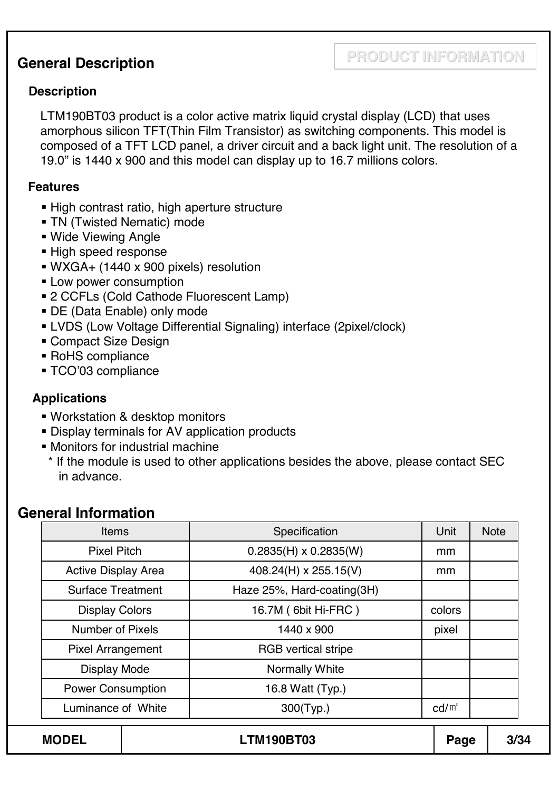### **General Description**

#### **Description**

LTM190BT03 product is a color active matrix liquid crystal display (LCD) that uses amorphous silicon TFT(Thin Film Transistor) as switching components. This model is composed of a TFT LCD panel, a driver circuit and a back light unit. The resolution of a 19.0" is 1440 x 900 and this model can display up to 16.7 millions colors.

#### **Features**

- High contrast ratio, high aperture structure
- **TN (Twisted Nematic) mode**
- Wide Viewing Angle
- **High speed response**
- WXGA+ (1440 x 900 pixels) resolution
- **ELOW power consumption**
- 2 CCFLs (Cold Cathode Fluorescent Lamp)
- DE (Data Enable) only mode
- LVDS (Low Voltage Differential Signaling) interface (2pixel/clock)
- **Compact Size Design**
- RoHS compliance
- TCO'03 compliance

#### **Applications**

- Workstation & desktop monitors
- Display terminals for AV application products
- Monitors for industrial machine
	- \* If the module is used to other applications besides the above, please contact SEC in advance.

#### **General Information**

| <b>Items</b>               | Specification                | Unit            | <b>Note</b> |
|----------------------------|------------------------------|-----------------|-------------|
| <b>Pixel Pitch</b>         | $0.2835(H) \times 0.2835(W)$ | mm              |             |
| <b>Active Display Area</b> | 408.24(H) x 255.15(V)        | mm              |             |
| <b>Surface Treatment</b>   | Haze 25%, Hard-coating(3H)   |                 |             |
| <b>Display Colors</b>      | 16.7M (6bit Hi-FRC)          | colors          |             |
| <b>Number of Pixels</b>    | 1440 x 900                   | pixel           |             |
| <b>Pixel Arrangement</b>   | <b>RGB</b> vertical stripe   |                 |             |
| <b>Display Mode</b>        | <b>Normally White</b>        |                 |             |
| <b>Power Consumption</b>   | 16.8 Watt (Typ.)             |                 |             |
| Luminance of White         | 300(Typ.)                    | $\text{cd/m}^2$ |             |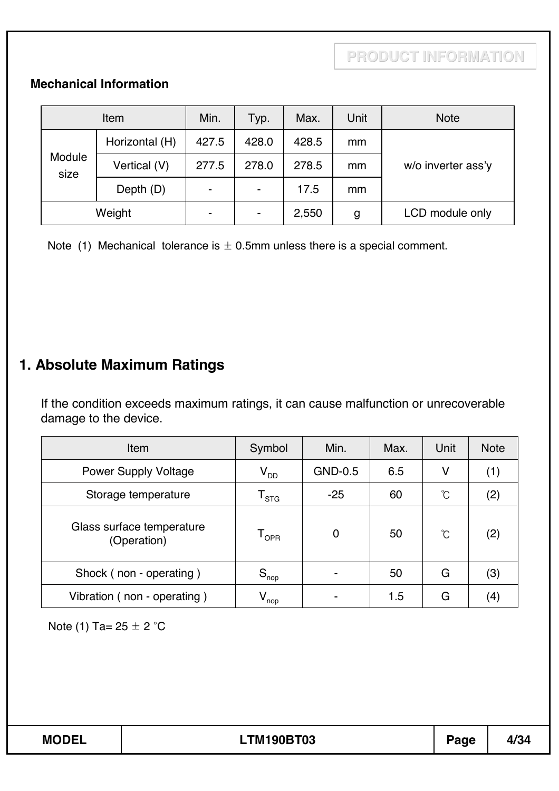#### **Mechanical Information**

|                | Item           | Min.                     | Typ.                     | Max.  | Unit          | <b>Note</b>        |
|----------------|----------------|--------------------------|--------------------------|-------|---------------|--------------------|
|                | Horizontal (H) | 427.5                    | 428.0                    | 428.5 | mm            |                    |
| Module<br>size | Vertical (V)   | 277.5                    | 278.0                    | 278.5 | mm            | w/o inverter ass'y |
|                | Depth (D)      | $\overline{\phantom{0}}$ | $\overline{\phantom{a}}$ | 17.5  | <sub>mm</sub> |                    |
| Weight         |                | $\overline{\phantom{0}}$ | $\blacksquare$           | 2,550 | g             | LCD module only    |

Note (1) Mechanical tolerance is  $\pm$  0.5mm unless there is a special comment.

# **1. Absolute Maximum Ratings**

If the condition exceeds maximum ratings, it can cause malfunction or unrecoverable damage to the device.

| <b>Item</b>                              | Symbol                       | Min.        | Max. | Unit | <b>Note</b> |
|------------------------------------------|------------------------------|-------------|------|------|-------------|
| <b>Power Supply Voltage</b>              | $V_{DD}$                     | GND-0.5     | 6.5  | ۷    | (1)         |
| Storage temperature                      | ${\mathsf T}_{\textsf{STG}}$ | $-25$       | 60   | °C   | (2)         |
| Glass surface temperature<br>(Operation) | $\mathsf{T}_{\mathsf{OPR}}$  | $\mathbf 0$ | 50   | °C   | (2)         |
| Shock (non - operating)                  | $S_{\text{nop}}$             |             | 50   | G    | (3)         |
| Vibration (non - operating)              | $V_{\mathsf{nop}}$           |             | 1.5  | G    | (4)         |

Note (1) Ta=  $25 \pm 2$  °C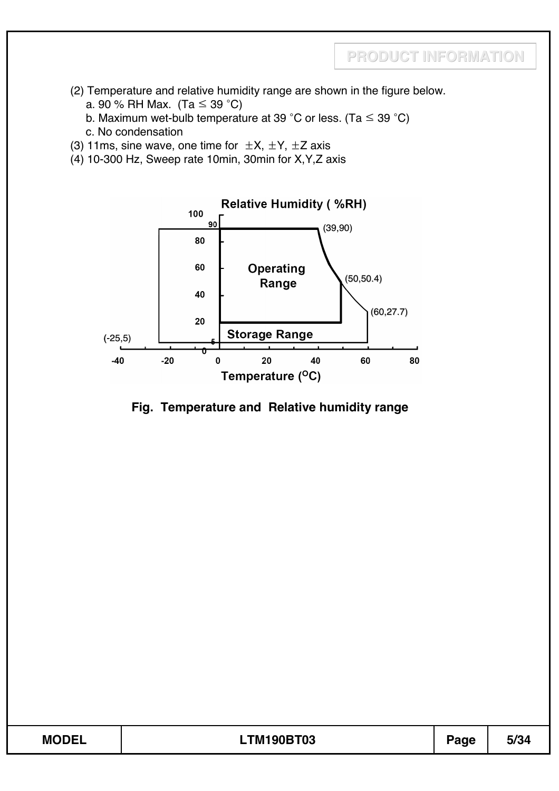- (2) Temperature and relative humidity range are shown in the figure below.
	- a. 90 % RH Max. (Ta  $\leq$  39 °C)
	- b. Maximum wet-bulb temperature at 39 °C or less. (Ta  $\leq$  39 °C)
	- c. No condensation
- (3) 11ms, sine wave, one time for  $\pm X$ ,  $\pm Y$ ,  $\pm Z$  axis
- (4) 10-300 Hz, Sweep rate 10min, 30min for X,Y,Z axis



#### **Fig. Temperature and Relative humidity range**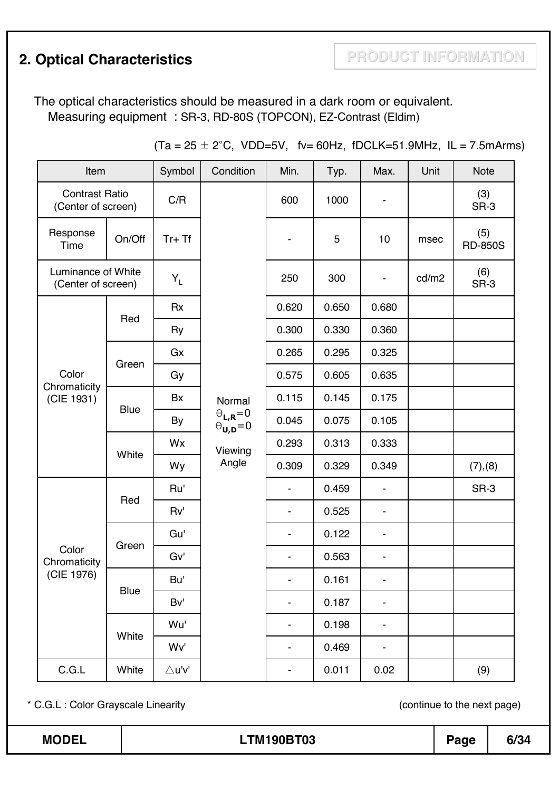# **2. Optical Characteristics <b>PRODUCT INFORMATION**

The optical characteristics should be measured in a dark room or equivalent. Measuring equipment : SR-3, RD-80S (TOPCON), EZ-Contrast (Eldim)

| Item                                        |             | Symbol           | Condition                                                                                                                     | Min.                     | Typ.  | Max.                     | Unit  | <b>Note</b> |                       |
|---------------------------------------------|-------------|------------------|-------------------------------------------------------------------------------------------------------------------------------|--------------------------|-------|--------------------------|-------|-------------|-----------------------|
| <b>Contrast Ratio</b><br>(Center of screen) |             | C/R              |                                                                                                                               | 600                      | 1000  |                          |       | (3)<br>SR-3 |                       |
| Response<br>Time                            | On/Off      | $Tr+Tf$          |                                                                                                                               |                          |       | 5                        | 10    | msec        | (5)<br><b>RD-850S</b> |
| Luminance of White<br>(Center of screen)    |             | $Y_L$            |                                                                                                                               | 250                      | 300   |                          | cd/m2 | (6)<br>SR-3 |                       |
|                                             |             | <b>Rx</b>        |                                                                                                                               | 0.620                    | 0.650 | 0.680                    |       |             |                       |
|                                             | Red         | Ry               | 0.300                                                                                                                         | 0.330                    | 0.360 |                          |       |             |                       |
|                                             |             | Gx               | Normal                                                                                                                        | 0.265                    | 0.295 | 0.325                    |       |             |                       |
| Color                                       | Green       | Gy               |                                                                                                                               | 0.575                    | 0.605 | 0.635                    |       |             |                       |
| Chromaticity<br>(CIE 1931)                  | <b>Blue</b> | Bx               |                                                                                                                               | 0.115                    | 0.145 | 0.175                    |       |             |                       |
|                                             |             | By               | $\begin{array}{c} \boldsymbol{\Theta}_{\text{L},\text{R}}\!=\!0 \\ \boldsymbol{\Theta}_{\text{U},\text{D}}\!=\!0 \end{array}$ | 0.045                    | 0.075 | 0.105                    |       |             |                       |
|                                             | White       | Wx               | Viewing<br>Angle                                                                                                              | 0.293                    | 0.313 | 0.333                    |       |             |                       |
|                                             |             | Wy               |                                                                                                                               | 0.309                    | 0.329 | 0.349                    |       | (7), (8)    |                       |
|                                             | Red         | Ru'              |                                                                                                                               |                          | 0.459 |                          |       | SR-3        |                       |
|                                             |             | Rv'              |                                                                                                                               | $\overline{\phantom{a}}$ | 0.525 |                          |       |             |                       |
|                                             | Green       | Gu'              |                                                                                                                               | $\overline{\phantom{a}}$ | 0.122 |                          |       |             |                       |
| Color<br>Chromaticity                       |             | Gv'              |                                                                                                                               |                          | 0.563 |                          |       |             |                       |
| (CIE 1976)                                  | <b>Blue</b> | Bu'              |                                                                                                                               |                          | 0.161 |                          |       |             |                       |
|                                             |             | Bv'              |                                                                                                                               | $\overline{\phantom{a}}$ | 0.187 | $\overline{\phantom{a}}$ |       |             |                       |
|                                             | White       | Wu'              |                                                                                                                               | $\overline{\phantom{a}}$ | 0.198 | $\overline{\phantom{a}}$ |       |             |                       |
|                                             |             | Wv'              |                                                                                                                               | $\overline{\phantom{a}}$ | 0.469 | $\overline{\phantom{a}}$ |       |             |                       |
| C.G.L                                       | White       | $\triangle$ u'v' |                                                                                                                               | -                        | 0.011 | 0.02                     |       | (9)         |                       |

 $(Ta = 25 \pm 2^{\circ}C, VDD=5V, tv= 60 Hz, fDCLK=51.9 MHz, IL = 7.5 mA rms)$ 

\* C.G.L : Color Grayscale Linearity (continue to the next page)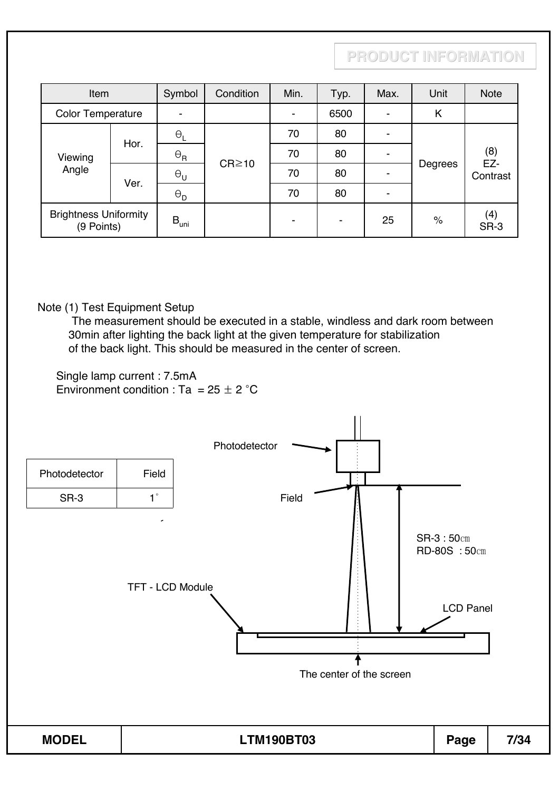| Item                                       |                               | Symbol           | Condition                                           | Min. | Typ. | Max.           | Unit    | <b>Note</b>            |
|--------------------------------------------|-------------------------------|------------------|-----------------------------------------------------|------|------|----------------|---------|------------------------|
| <b>Color Temperature</b>                   |                               |                  |                                                     |      | 6500 | ۰              | Κ       |                        |
|                                            | Hor.                          | $\Theta_{\sf L}$ | $\Theta_{\sf R}$<br>$CR \ge 10$<br>$\Theta_{\sf U}$ | 70   | 80   | $\blacksquare$ | Degrees | (8)<br>EZ-<br>Contrast |
| Viewing<br>Angle                           |                               |                  |                                                     | 70   | 80   | ۰              |         |                        |
|                                            |                               |                  |                                                     | 70   | 80   | ۰              |         |                        |
|                                            | Ver.<br>$\Theta_{\mathsf{D}}$ |                  |                                                     | 70   | 80   | ۰              |         |                        |
| <b>Brightness Uniformity</b><br>(9 Points) |                               | $B_{\text{uni}}$ |                                                     | ۰    |      | 25             | $\%$    | (4)<br>SR-3            |

#### Note (1) Test Equipment Setup

The measurement should be executed in a stable, windless and dark room between 30min after lighting the back light at the given temperature for stabilization of the back light. This should be measured in the center of screen.

Single lamp current : 7.5mA Environment condition : Ta =  $25 \pm 2$  °C

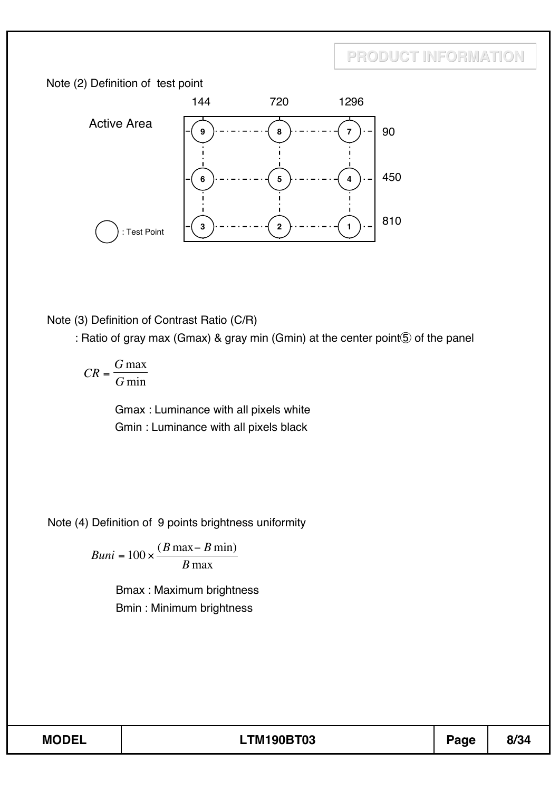



Note (3) Definition of Contrast Ratio (C/R)

: Ratio of gray max (Gmax) & gray min (Gmin) at the center point **5** of the panel

*CR*  $=\frac{G \max}{G \min}$ 

> Gmax : Luminance with all pixels white Gmin : Luminance with all pixels black

Note (4) Definition of 9 points brightness uniformity

 $Buni = 100 \times \frac{(B \max - B \min)}{B \max}$ 

Bmax : Maximum brightness Bmin : Minimum brightness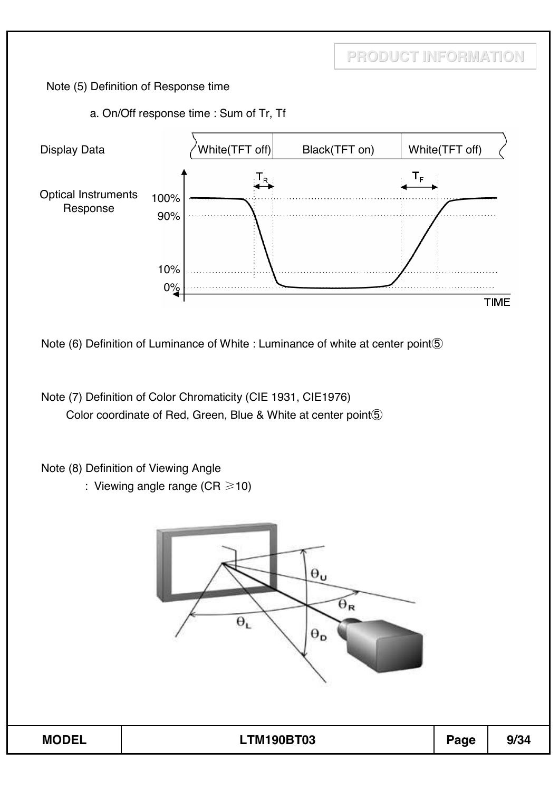Note (5) Definition of Response time

a. On/Off response time : Sum of Tr, Tf



Note (7) Definition of Color Chromaticity (CIE 1931, CIE1976) Color coordinate of Red, Green, Blue & White at center point $\circledS$ 

Note (8) Definition of Viewing Angle

: Viewing angle range (CR  $\geq$  10)

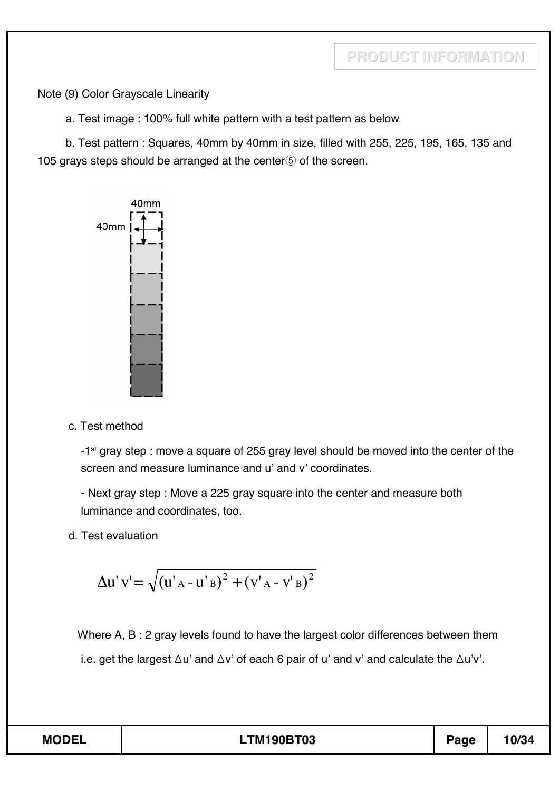Note (9) Color Grayscale Linearity

a. Test image : 100% full white pattern with a test pattern as below

b. Test pattern : Squares, 40mm by 40mm in size, filled with 255, 225, 195, 165, 135 and 105 grays steps should be arranged at the center $\delta$  of the screen.



c. Test method

-1st gray step : move a square of 255 gray level should be moved into the center of the screen and measure luminance and u' and v' coordinates.

- Next gray step : Move a 225 gray square into the center and measure both luminance and coordinates, too.

d. Test evaluation

$$
\Delta u' v' = \sqrt{(u'_{A} - u'_{B})^{2} + (v'_{A} - v'_{B})^{2}}
$$

Where A, B : 2 gray levels found to have the largest color differences between them i.e. get the largest  $\Delta u'$  and  $\Delta v'$  of each 6 pair of u' and v' and calculate the  $\Delta u'v'$ .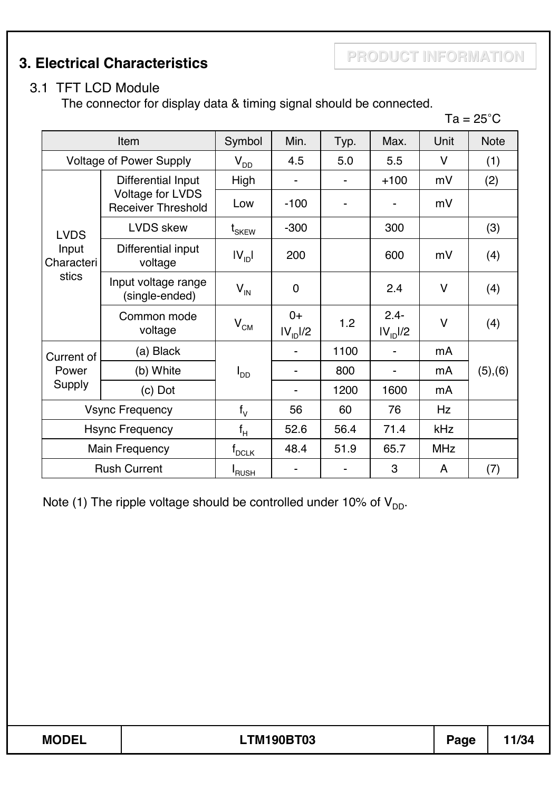**PRODUCT INFORMATION 3. Electrical Characteristics**

#### 3.1 TFT LCD Module

The connector for display data & timing signal should be connected.

 $Ta = 25^{\circ}C$ 

| Item                           |                                                                                 | Symbol                                    | Min.                         | Typ. | Max.                            | Unit       | <b>Note</b> |
|--------------------------------|---------------------------------------------------------------------------------|-------------------------------------------|------------------------------|------|---------------------------------|------------|-------------|
| <b>Voltage of Power Supply</b> |                                                                                 | $V_{DD}$                                  | 4.5                          | 5.0  | 5.5                             | $\vee$     | (1)         |
|                                | Differential Input                                                              | High                                      |                              |      | $+100$                          | mV         | (2)         |
|                                | Voltage for LVDS<br><b>Receiver Threshold</b>                                   | Low                                       | $-100$                       |      | -                               | mV         |             |
| <b>LVDS</b>                    | <b>LVDS</b> skew                                                                | $\boldsymbol{\mathsf{t}}_{\mathsf{SKEW}}$ | $-300$                       |      | 300                             |            | (3)         |
| Input<br>Characteri            | Differential input<br>voltage<br>stics<br>Input voltage range<br>(single-ended) |                                           | 200                          |      | 600                             | mV         | (4)         |
|                                |                                                                                 |                                           | $\mathbf 0$                  |      | 2.4                             | $\vee$     | (4)         |
|                                | Common mode<br>voltage                                                          | V <sub>CM</sub>                           | $0+$<br>IV <sub>ID</sub> I/2 | 1.2  | $2.4 -$<br>IV <sub>ID</sub> I/2 | $\vee$     | (4)         |
| Current of                     | (a) Black                                                                       |                                           |                              | 1100 |                                 | mA         |             |
| Power                          | (b) White                                                                       | I <sub>DD</sub>                           |                              | 800  |                                 | mA         | (5), (6)    |
| Supply                         | $(c)$ Dot                                                                       |                                           |                              | 1200 | 1600                            | mA         |             |
| <b>Vsync Frequency</b>         |                                                                                 | $f_V$                                     | 56                           | 60   | 76                              | Hz         |             |
| <b>Hsync Frequency</b>         |                                                                                 | $f_H$                                     | 52.6                         | 56.4 | 71.4                            | kHz        |             |
| <b>Main Frequency</b>          |                                                                                 | $\mathsf{f}_{\mathsf{DCLK}}$              | 48.4                         | 51.9 | 65.7                            | <b>MHz</b> |             |
| <b>Rush Current</b>            |                                                                                 | <b>I</b> RUSH                             |                              |      | 3                               | A          | (7)         |

Note (1) The ripple voltage should be controlled under 10% of  $V_{DD}$ .

| <b>MODEL</b><br><b>LTM190BT03</b><br>Page | 11/34 |
|-------------------------------------------|-------|
|-------------------------------------------|-------|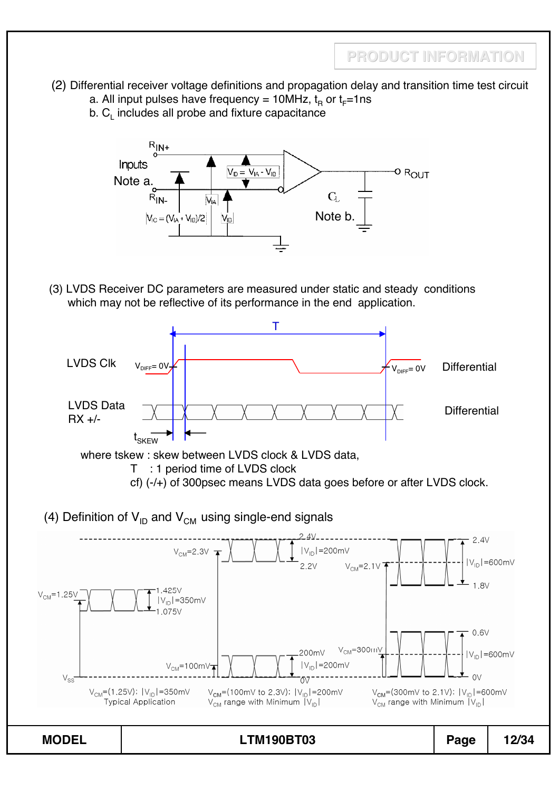- (2) Differential receiver voltage definitions and propagation delay and transition time test circuit
	- a. All input pulses have frequency = 10MHz,  $t_B$  or  $t_F=1$ ns
	- $b. C<sub>l</sub>$  includes all probe and fixture capacitance



(3) LVDS Receiver DC parameters are measured under static and steady conditions which may not be reflective of its performance in the end application.



where tskew : skew between LVDS clock & LVDS data,

- T : 1 period time of LVDS clock
- cf) (-/+) of 300psec means LVDS data goes before or after LVDS clock.
- (4) Definition of  $V_{ID}$  and  $V_{CM}$  using single-end signals

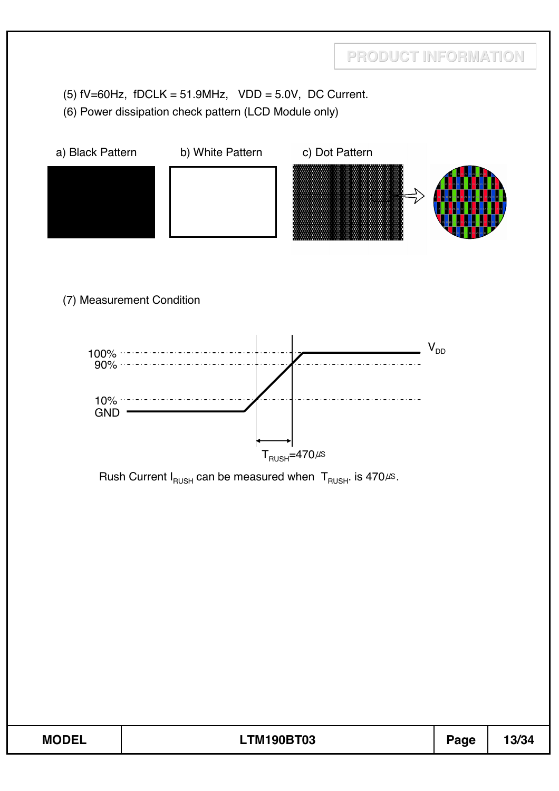(5)  $fV=60Hz$ ,  $fDCLK = 51.9MHz$ ,  $VDD = 5.0V$ , DC Current.

(6) Power dissipation check pattern (LCD Module only)

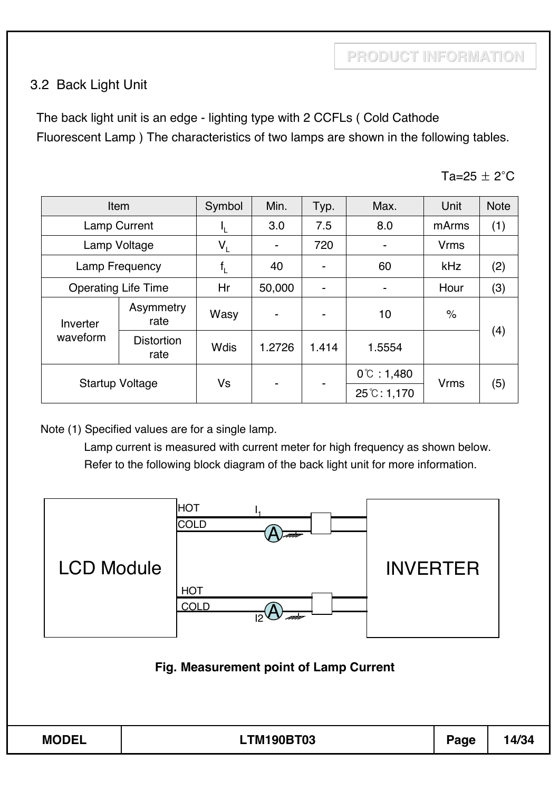#### 3.2 Back Light Unit

The back light unit is an edge - lighting type with 2 CCFLs ( Cold Cathode Fluorescent Lamp ) The characteristics of two lamps are shown in the following tables.

Ta=25  $\pm$  2°C

| Item                       |                           | Symbol      | Min.   | Typ.                     | Max.                  | Unit                 | <b>Note</b> |
|----------------------------|---------------------------|-------------|--------|--------------------------|-----------------------|----------------------|-------------|
| <b>Lamp Current</b>        |                           | Ч.          | 3.0    | 7.5                      | 8.0                   | mArms                | (1)         |
| Lamp Voltage               |                           | $V_L$       |        | 720                      |                       | <b>Vrms</b>          |             |
| Lamp Frequency             |                           | $f_{\rm L}$ | 40     |                          | 60                    | kHz                  | (2)         |
| <b>Operating Life Time</b> |                           | Hr          | 50,000 | $\overline{\phantom{0}}$ |                       | Hour                 | (3)         |
| Inverter                   | Asymmetry<br>rate         | Wasy        |        |                          | 10                    | $\frac{1}{\sqrt{2}}$ |             |
| waveform                   | <b>Distortion</b><br>rate | <b>Wdis</b> | 1.2726 | 1.414                    | 1.5554                |                      | (4)         |
| <b>Startup Voltage</b>     |                           |             |        |                          | $0^{\circ}$ : 1,480   |                      |             |
|                            |                           | Vs          | ۰      | ۰                        | $25^{\circ}$ C: 1,170 | <b>Vrms</b>          | (5)         |

Note (1) Specified values are for a single lamp.

Lamp current is measured with current meter for high frequency as shown below. Refer to the following block diagram of the back light unit for more information.

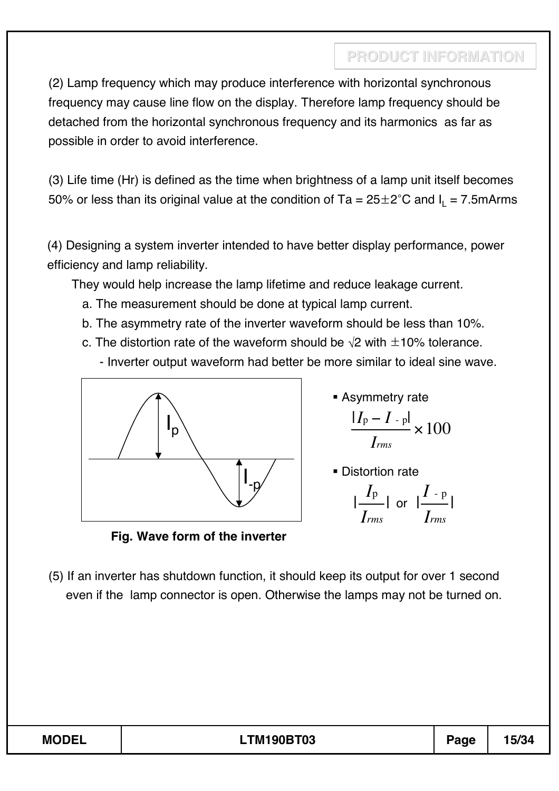(2) Lamp frequency which may produce interference with horizontal synchronous frequency may cause line flow on the display. Therefore lamp frequency should be detached from the horizontal synchronous frequency and its harmonics as far as possible in order to avoid interference.

(3) Life time (Hr) is defined as the time when brightness of a lamp unit itself becomes 50% or less than its original value at the condition of Ta =  $25\pm2^{\circ}$ C and I<sub>1</sub> = 7.5mArms

(4) Designing a system inverter intended to have better display performance, power efficiency and lamp reliability.

They would help increase the lamp lifetime and reduce leakage current.

- a. The measurement should be done at typical lamp current.
- b. The asymmetry rate of the inverter waveform should be less than 10%.
- c. The distortion rate of the waveform should be  $\sqrt{2}$  with  $\pm$ 10% tolerance.
	- Inverter output waveform had better be more similar to ideal sine wave.



**Asymmetry rate** 

$$
\frac{|I_{\rm p}-I_{\rm -p}|}{I_{\rm rms}}\times 100
$$

**Distortion rate** 

$$
\frac{|I_{\rm p}|}{I_{\rm rms}} | \text{ or } |\frac{I_{\rm -p}}{I_{\rm rms}}|
$$

**Fig. Wave form of the inverter**

(5) If an inverter has shutdown function, it should keep its output for over 1 second even if the lamp connector is open. Otherwise the lamps may not be turned on.

| <b>MODEL</b><br><b>TM190BT03</b><br>4 P IO 4<br>Page<br>5/34<br>-- |
|--------------------------------------------------------------------|
|--------------------------------------------------------------------|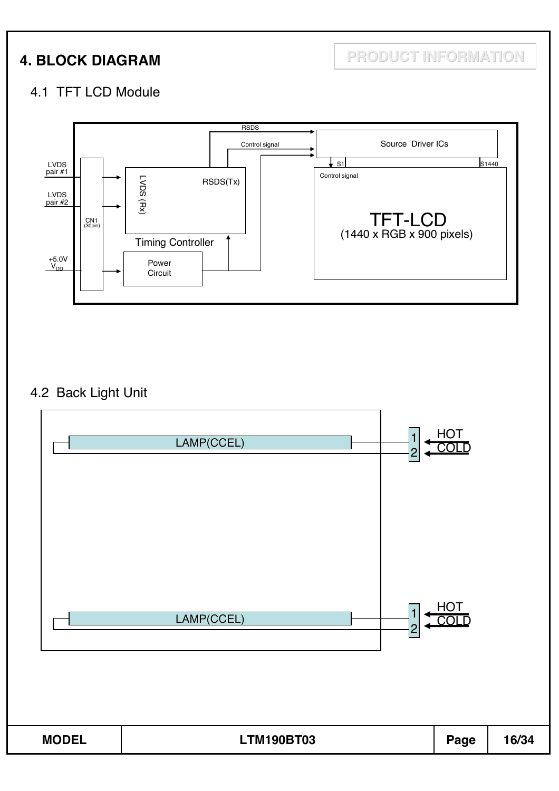**4. BLOCK DIAGRAM PRODUCT INFORMATION**

#### 4.1 TFT LCD Module



### 4.2 Back Light Unit

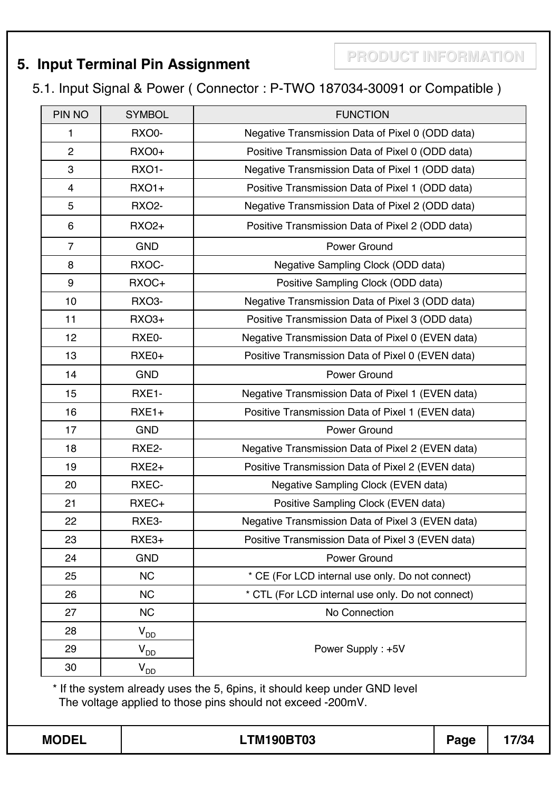# **PRODUCT INFORMATION 5. Input Terminal Pin Assignment**

#### 5.1. Input Signal & Power ( Connector : P-TWO 187034-30091 or Compatible )

| PIN NO         | <b>SYMBOL</b>     | <b>FUNCTION</b>                                   |  |
|----------------|-------------------|---------------------------------------------------|--|
| 1              | RXO0-             | Negative Transmission Data of Pixel 0 (ODD data)  |  |
| $\overline{2}$ | <b>RXO0+</b>      | Positive Transmission Data of Pixel 0 (ODD data)  |  |
| 3              | <b>RXO1-</b>      | Negative Transmission Data of Pixel 1 (ODD data)  |  |
| 4              | <b>RXO1+</b>      | Positive Transmission Data of Pixel 1 (ODD data)  |  |
| 5              | <b>RXO2-</b>      | Negative Transmission Data of Pixel 2 (ODD data)  |  |
| 6              | <b>RXO2+</b>      | Positive Transmission Data of Pixel 2 (ODD data)  |  |
| $\overline{7}$ | <b>GND</b>        | Power Ground                                      |  |
| 8              | RXOC-             | Negative Sampling Clock (ODD data)                |  |
| 9              | RXOC+             | Positive Sampling Clock (ODD data)                |  |
| 10             | RXO3-             | Negative Transmission Data of Pixel 3 (ODD data)  |  |
| 11             | <b>RXO3+</b>      | Positive Transmission Data of Pixel 3 (ODD data)  |  |
| 12             | RXE0-             | Negative Transmission Data of Pixel 0 (EVEN data) |  |
| 13             | RXE0+             | Positive Transmission Data of Pixel 0 (EVEN data) |  |
| 14             | <b>GND</b>        | Power Ground                                      |  |
| 15             | RXE1-             | Negative Transmission Data of Pixel 1 (EVEN data) |  |
| 16             | $RXE1+$           | Positive Transmission Data of Pixel 1 (EVEN data) |  |
| 17             | <b>GND</b>        | Power Ground                                      |  |
| 18             | RXE2-             | Negative Transmission Data of Pixel 2 (EVEN data) |  |
| 19             | RXE <sub>2+</sub> | Positive Transmission Data of Pixel 2 (EVEN data) |  |
| 20             | RXEC-             | Negative Sampling Clock (EVEN data)               |  |
| 21             | RXEC+             | Positive Sampling Clock (EVEN data)               |  |
| 22             | RXE3-             | Negative Transmission Data of Pixel 3 (EVEN data) |  |
| 23             | RXE3+             | Positive Transmission Data of Pixel 3 (EVEN data) |  |
| 24             | <b>GND</b>        | Power Ground                                      |  |
| 25             | <b>NC</b>         | * CE (For LCD internal use only. Do not connect)  |  |
| 26             | <b>NC</b>         | * CTL (For LCD internal use only. Do not connect) |  |
| 27             | <b>NC</b>         | No Connection                                     |  |
| 28             | $V_{DD}$          |                                                   |  |
| 29             | $V_{DD}$          | Power Supply: +5V                                 |  |
| 30             | $V_{DD}$          |                                                   |  |

\* If the system already uses the 5, 6pins, it should keep under GND level The voltage applied to those pins should not exceed -200mV.

| Λ<br>м |
|--------|
|--------|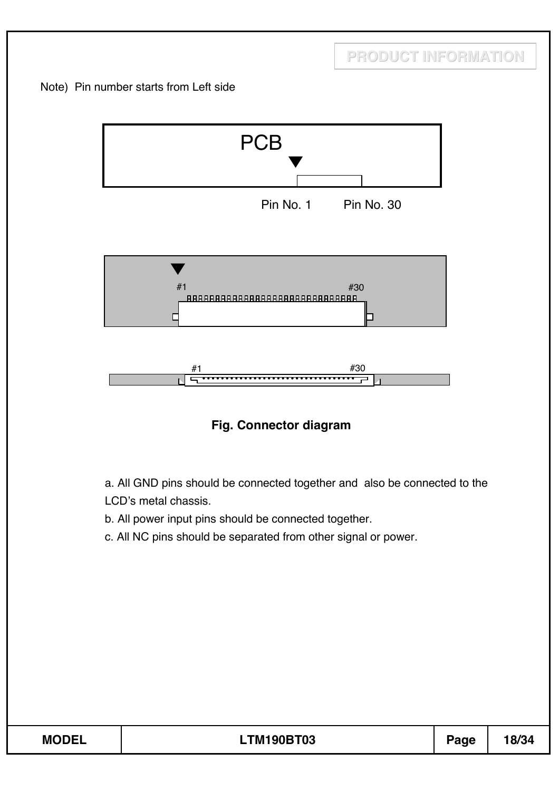



a. All GND pins should be connected together and also be connected to the LCD's metal chassis.

- b. All power input pins should be connected together.
- c. All NC pins should be separated from other signal or power.

| <b>MODEL</b> | TM190BT03 | age | 18/34 |
|--------------|-----------|-----|-------|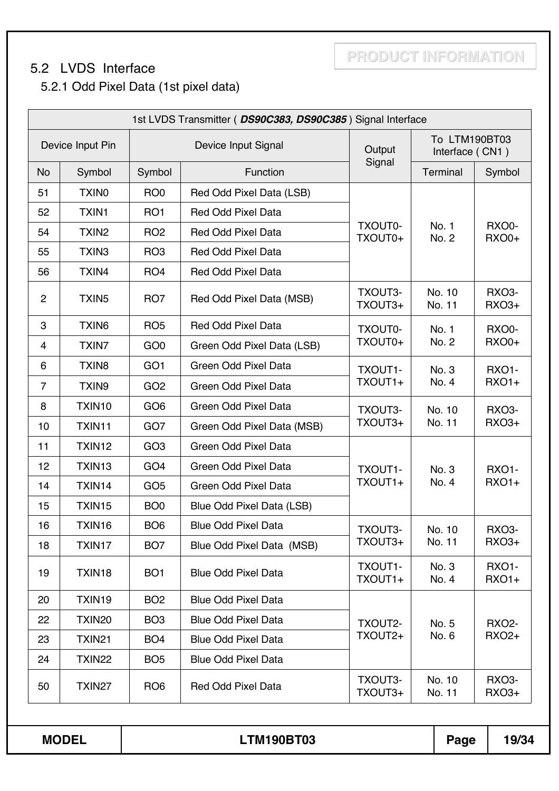#### 5.2 LVDS Interface

**PRODUCT INFORMATION**

### 5.2.1 Odd Pixel Data (1st pixel data)

|                |                    |                 | 1st LVDS Transmitter (DS90C383, DS90C385) Signal Interface |                    |                                  |                              |
|----------------|--------------------|-----------------|------------------------------------------------------------|--------------------|----------------------------------|------------------------------|
|                | Device Input Pin   |                 | Device Input Signal                                        | Output             | To LTM190BT03<br>Interface (CN1) |                              |
| <b>No</b>      | Symbol             | Symbol          | Function                                                   | Signal             | Terminal                         | Symbol                       |
| 51             | <b>TXINO</b>       | RO <sub>0</sub> | Red Odd Pixel Data (LSB)                                   |                    |                                  |                              |
| 52             | <b>TXIN1</b>       | RO <sub>1</sub> | <b>Red Odd Pixel Data</b>                                  |                    |                                  |                              |
| 54             | TXIN <sub>2</sub>  | RO <sub>2</sub> | <b>Red Odd Pixel Data</b>                                  | TXOUT0-<br>TXOUT0+ | No. 1<br>No. 2                   | RXO0-<br><b>RXO0+</b>        |
| 55             | TXIN3              | RO <sub>3</sub> | <b>Red Odd Pixel Data</b>                                  |                    |                                  |                              |
| 56             | TXIN4              | RO <sub>4</sub> | <b>Red Odd Pixel Data</b>                                  |                    |                                  |                              |
| $\overline{c}$ | TXIN <sub>5</sub>  | RO <sub>7</sub> | Red Odd Pixel Data (MSB)                                   | TXOUT3-<br>TXOUT3+ | No. 10<br>No. 11                 | <b>RXO3-</b><br><b>RXO3+</b> |
| 3              | TXIN6              | RO <sub>5</sub> | <b>Red Odd Pixel Data</b>                                  | TXOUT0-            | No. 1                            | RXO0-                        |
| 4              | <b>TXIN7</b>       | GO <sub>0</sub> | Green Odd Pixel Data (LSB)                                 | TXOUT0+            | No. 2                            | <b>RXO0+</b>                 |
| 6              | TXIN <sub>8</sub>  | GO <sub>1</sub> | Green Odd Pixel Data                                       | TXOUT1-            | No. 3                            | <b>RXO1-</b>                 |
| $\overline{7}$ | TXIN9              | GO <sub>2</sub> | Green Odd Pixel Data                                       | TXOUT1+            | No. 4                            | <b>RXO1+</b>                 |
| 8              | TXIN10             | GO <sub>6</sub> | Green Odd Pixel Data                                       | TXOUT3-            | No. 10                           | <b>RXO3-</b>                 |
| 10             | TXIN11             | GO <sub>7</sub> | Green Odd Pixel Data (MSB)                                 | TXOUT3+            | No. 11                           | <b>RXO3+</b>                 |
| 11             | TXIN12             | GO <sub>3</sub> | Green Odd Pixel Data                                       |                    |                                  |                              |
| 12             | TXIN13             | GO <sub>4</sub> | Green Odd Pixel Data                                       | TXOUT1-            | No. 3                            | <b>RXO1-</b>                 |
| 14             | TXIN14             | GO <sub>5</sub> | Green Odd Pixel Data                                       | TXOUT1+            | No. 4                            | <b>RXO1+</b>                 |
| 15             | TXIN15             | BO <sub>0</sub> | Blue Odd Pixel Data (LSB)                                  |                    |                                  |                              |
| 16             | TXIN16             | BO <sub>6</sub> | <b>Blue Odd Pixel Data</b>                                 | TXOUT3-            | No. 10                           | RXO3-                        |
| 18             | TXIN17             | BO <sub>7</sub> | Blue Odd Pixel Data (MSB)                                  | TXOUT3+            | No. 11                           | <b>RXO3+</b>                 |
| 19             | TXIN18             | BO <sub>1</sub> | <b>Blue Odd Pixel Data</b>                                 | TXOUT1-<br>TXOUT1+ | No. 3<br>No. 4                   | <b>RXO1-</b><br><b>RXO1+</b> |
| 20             | TXIN19             | BO <sub>2</sub> | <b>Blue Odd Pixel Data</b>                                 |                    |                                  |                              |
| 22             | TXIN <sub>20</sub> | BO <sub>3</sub> | <b>Blue Odd Pixel Data</b>                                 | TXOUT2-            | No. 5                            | <b>RXO2-</b>                 |
| 23             | TXIN21             | BO <sub>4</sub> | <b>Blue Odd Pixel Data</b>                                 | TXOUT2+            | No. 6                            | <b>RXO2+</b>                 |
| 24             | TXIN22             | BO <sub>5</sub> | <b>Blue Odd Pixel Data</b>                                 |                    |                                  |                              |
| 50             | TXIN27             | RO <sub>6</sub> | <b>Red Odd Pixel Data</b>                                  | TXOUT3-<br>TXOUT3+ | No. 10<br>No. 11                 | <b>RXO3-</b><br>RXO3+        |
|                |                    |                 |                                                            |                    |                                  |                              |
|                | <b>MODEL</b>       |                 | <b>LTM190BT03</b>                                          |                    | Page                             | 19/34                        |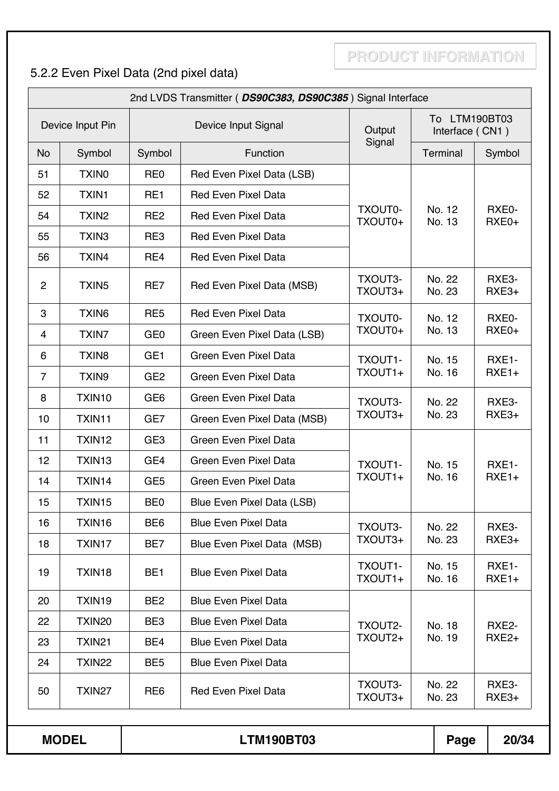# 5.2.2 Even Pixel Data (2nd pixel data)

|                |                    |                 | 2nd LVDS Transmitter (DS90C383, DS90C385) Signal Interface |                    |                                  |                   |  |  |
|----------------|--------------------|-----------------|------------------------------------------------------------|--------------------|----------------------------------|-------------------|--|--|
|                | Device Input Pin   |                 | Device Input Signal                                        | Output             | To LTM190BT03<br>Interface (CN1) |                   |  |  |
| <b>No</b>      | Symbol             | Symbol          | Function                                                   | Signal             | Terminal                         | Symbol            |  |  |
| 51             | <b>TXINO</b>       | RE <sub>0</sub> | Red Even Pixel Data (LSB)                                  |                    |                                  |                   |  |  |
| 52             | <b>TXIN1</b>       | RE1             | <b>Red Even Pixel Data</b>                                 |                    |                                  |                   |  |  |
| 54             | TXIN <sub>2</sub>  | RE <sub>2</sub> | <b>Red Even Pixel Data</b>                                 | TXOUT0-<br>TXOUT0+ | No. 12<br>No. 13                 | RXE0-<br>RXE0+    |  |  |
| 55             | TXIN <sub>3</sub>  | RE3             | <b>Red Even Pixel Data</b>                                 |                    |                                  |                   |  |  |
| 56             | TXIN4              | RE4             | <b>Red Even Pixel Data</b>                                 |                    |                                  |                   |  |  |
| $\overline{2}$ | TXIN <sub>5</sub>  | RE7             | Red Even Pixel Data (MSB)                                  | TXOUT3-<br>TXOUT3+ | No. 22<br>No. 23                 | RXE3-<br>$RXE3+$  |  |  |
| 3              | TXIN <sub>6</sub>  | RE <sub>5</sub> | <b>Red Even Pixel Data</b>                                 | TXOUT0-            | No. 12                           | RXE0-             |  |  |
| 4              | <b>TXIN7</b>       | GE <sub>0</sub> | Green Even Pixel Data (LSB)                                | TXOUT0+            | No. 13                           | RXE0+             |  |  |
| 6              | TXIN <sub>8</sub>  | GE <sub>1</sub> | <b>Green Even Pixel Data</b>                               | TXOUT1-            | No. 15                           | RXE1-             |  |  |
| $\overline{7}$ | TXIN9              | GE <sub>2</sub> | Green Even Pixel Data                                      | TXOUT1+            | No. 16                           | $RXE1+$           |  |  |
| 8              | TXIN10             | GE <sub>6</sub> | Green Even Pixel Data                                      | TXOUT3-            | No. 22                           | RXE3-             |  |  |
| 10             | TXIN11             | GE7             | Green Even Pixel Data (MSB)                                | TXOUT3+            | No. 23                           | RXE3+             |  |  |
| 11             | TXIN12             | GE <sub>3</sub> | <b>Green Even Pixel Data</b>                               |                    |                                  |                   |  |  |
| 12             | TXIN13             | GE4             | Green Even Pixel Data                                      | TXOUT1-            | No. 15                           | RXE1-             |  |  |
| 14             | TXIN14             | GE <sub>5</sub> | Green Even Pixel Data                                      | TXOUT1+            | No. 16                           | $RXE1+$           |  |  |
| 15             | TXIN15             | BE <sub>0</sub> | Blue Even Pixel Data (LSB)                                 |                    |                                  |                   |  |  |
| 16             | TXIN16             | BE <sub>6</sub> | <b>Blue Even Pixel Data</b>                                | TXOUT3-            | No. 22                           | RXE3-             |  |  |
| 18             | TXIN17             | BE7             | Blue Even Pixel Data (MSB)                                 | TXOUT3+            | No. 23                           | RXE3+             |  |  |
| 19             | TXIN18             | BE <sub>1</sub> | <b>Blue Even Pixel Data</b>                                | TXOUT1-<br>TXOUT1+ | No. 15<br>No. 16                 | RXE1-<br>$RXE1+$  |  |  |
| 20             | TXIN19             | BE <sub>2</sub> | <b>Blue Even Pixel Data</b>                                |                    |                                  |                   |  |  |
| 22             | TXIN <sub>20</sub> | BE3             | <b>Blue Even Pixel Data</b>                                | TXOUT2-            | No. 18                           | RXE2-             |  |  |
| 23             | TXIN21             | BE4             | <b>Blue Even Pixel Data</b>                                | TXOUT2+            | No. 19                           | RXE <sub>2+</sub> |  |  |
| 24             | <b>TXIN22</b>      | BE <sub>5</sub> | <b>Blue Even Pixel Data</b>                                |                    |                                  |                   |  |  |
| 50             | TXIN27             | RE <sub>6</sub> | <b>Red Even Pixel Data</b>                                 | TXOUT3-<br>TXOUT3+ | No. 22<br>No. 23                 | RXE3-<br>$RXE3+$  |  |  |

**MODEL LTM190BT03 Page 20/34**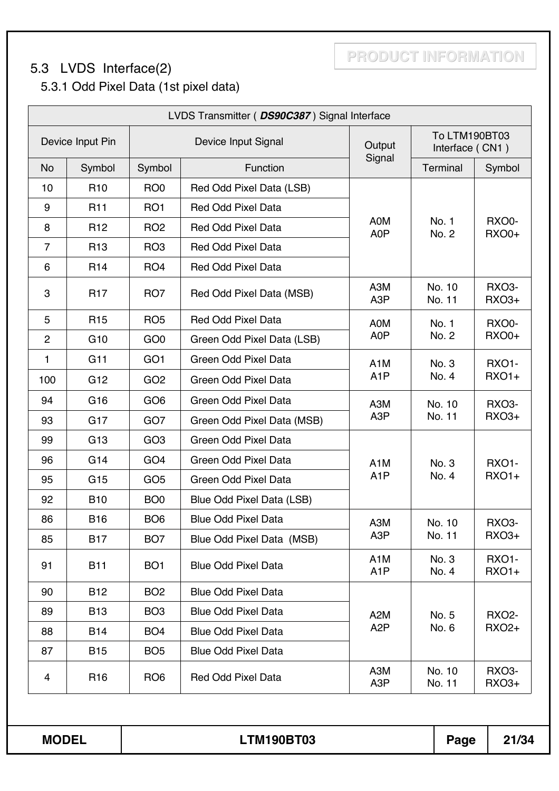# 5.3 LVDS Interface(2)

5.3.1 Odd Pixel Data (1st pixel data)

|                         |                  |                 | LVDS Transmitter (DS90C387) Signal Interface |                                      |                                  |                              |
|-------------------------|------------------|-----------------|----------------------------------------------|--------------------------------------|----------------------------------|------------------------------|
|                         | Device Input Pin |                 | Device Input Signal                          | Output                               | To LTM190BT03<br>Interface (CN1) |                              |
| <b>No</b>               | Symbol           | Symbol          | Function                                     | Signal                               | Terminal                         | Symbol                       |
| 10                      | R <sub>10</sub>  | RO <sub>0</sub> | Red Odd Pixel Data (LSB)                     |                                      |                                  |                              |
| 9                       | R <sub>11</sub>  | RO <sub>1</sub> | <b>Red Odd Pixel Data</b>                    |                                      |                                  |                              |
| 8                       | R <sub>12</sub>  | RO <sub>2</sub> | <b>Red Odd Pixel Data</b>                    | A0M<br>A0P                           | No. 1<br>No. 2                   | RXO0-<br><b>RXO0+</b>        |
| $\overline{7}$          | R <sub>13</sub>  | RO <sub>3</sub> | <b>Red Odd Pixel Data</b>                    |                                      |                                  |                              |
| 6                       | R <sub>14</sub>  | RO <sub>4</sub> | Red Odd Pixel Data                           |                                      |                                  |                              |
| 3                       | <b>R17</b>       | RO <sub>7</sub> | Red Odd Pixel Data (MSB)                     | A3M<br>A <sub>3</sub> P              | No. 10<br>No. 11                 | <b>RXO3-</b><br><b>RXO3+</b> |
| 5                       | R <sub>15</sub>  | RO <sub>5</sub> | <b>Red Odd Pixel Data</b>                    | A0M                                  | No. 1                            | RXO0-                        |
| $\overline{2}$          | G <sub>10</sub>  | GO <sub>0</sub> | Green Odd Pixel Data (LSB)                   | A0P                                  | No. 2                            | <b>RXO0+</b>                 |
| 1                       | G11              | GO <sub>1</sub> | Green Odd Pixel Data                         | A <sub>1</sub> M                     | No. 3                            | <b>RXO1-</b>                 |
| 100                     | G <sub>12</sub>  | GO <sub>2</sub> | Green Odd Pixel Data                         | A <sub>1</sub> P                     | No. 4                            | <b>RXO1+</b>                 |
| 94                      | G <sub>16</sub>  | GO <sub>6</sub> | Green Odd Pixel Data                         | A3M                                  | No. 10                           | <b>RXO3-</b>                 |
| 93                      | G <sub>17</sub>  | GO <sub>7</sub> | Green Odd Pixel Data (MSB)                   | A3P                                  | No. 11                           | <b>RXO3+</b>                 |
| 99                      | G <sub>13</sub>  | GO <sub>3</sub> | Green Odd Pixel Data                         |                                      |                                  |                              |
| 96                      | G14              | GO <sub>4</sub> | Green Odd Pixel Data                         | A <sub>1</sub> M                     | No. 3                            | <b>RXO1-</b>                 |
| 95                      | G <sub>15</sub>  | GO <sub>5</sub> | <b>Green Odd Pixel Data</b>                  | A <sub>1</sub> P                     | No. 4                            | <b>RXO1+</b>                 |
| 92                      | <b>B10</b>       | BO <sub>0</sub> | Blue Odd Pixel Data (LSB)                    |                                      |                                  |                              |
| 86                      | <b>B16</b>       | BO <sub>6</sub> | <b>Blue Odd Pixel Data</b>                   | A3M                                  | No. 10                           | RXO3-                        |
| 85                      | <b>B17</b>       | BO <sub>7</sub> | Blue Odd Pixel Data (MSB)                    | A <sub>3</sub> P                     | No. 11                           | RXO3+                        |
| 91                      | <b>B11</b>       | BO <sub>1</sub> | <b>Blue Odd Pixel Data</b>                   | A <sub>1</sub> M<br>A <sub>1</sub> P | No. 3<br>No. 4                   | <b>RXO1-</b><br><b>RXO1+</b> |
| 90                      | <b>B12</b>       | BO <sub>2</sub> | <b>Blue Odd Pixel Data</b>                   |                                      |                                  |                              |
| 89                      | <b>B13</b>       | BO <sub>3</sub> | <b>Blue Odd Pixel Data</b>                   | A <sub>2</sub> M                     | No. 5                            | <b>RXO2-</b>                 |
| 88                      | <b>B14</b>       | BO <sub>4</sub> | <b>Blue Odd Pixel Data</b>                   | A <sub>2</sub> P                     | No. 6                            | <b>RXO2+</b>                 |
| 87                      | <b>B15</b>       | BO <sub>5</sub> | <b>Blue Odd Pixel Data</b>                   |                                      |                                  |                              |
| $\overline{\mathbf{4}}$ | R <sub>16</sub>  | RO <sub>6</sub> | <b>Red Odd Pixel Data</b>                    | A3M<br>A <sub>3</sub> P              | No. 10<br>No. 11                 | <b>RXO3-</b><br><b>RXO3+</b> |
| <b>MODEL</b>            |                  |                 | <b>LTM190BT03</b>                            |                                      | Page                             | 21/34                        |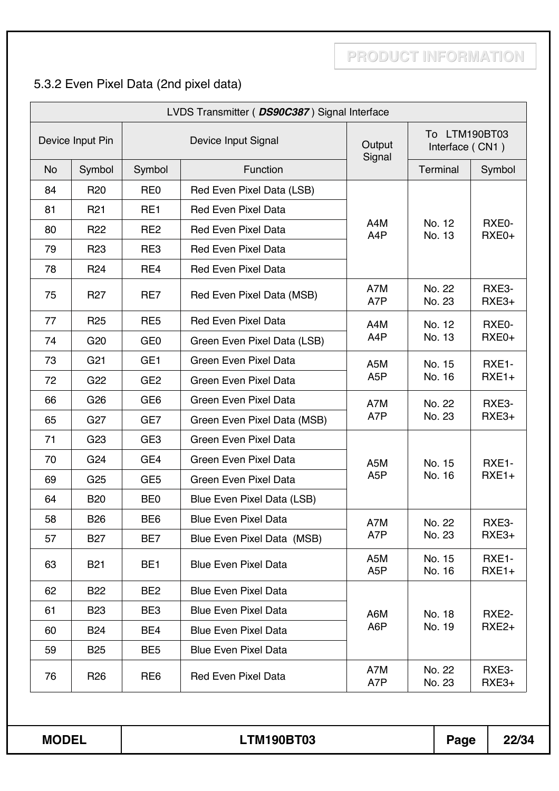## 5.3.2 Even Pixel Data (2nd pixel data)

|              |                  |                 | LVDS Transmitter (DS90C387) Signal Interface |                         |                                  |                   |  |
|--------------|------------------|-----------------|----------------------------------------------|-------------------------|----------------------------------|-------------------|--|
|              | Device Input Pin |                 | Device Input Signal                          | Output<br>Signal        | To LTM190BT03<br>Interface (CN1) |                   |  |
| <b>No</b>    | Symbol           | Symbol          | Function                                     |                         | Terminal                         | Symbol            |  |
| 84           | <b>R20</b>       | RE <sub>0</sub> | Red Even Pixel Data (LSB)                    |                         |                                  |                   |  |
| 81           | R <sub>21</sub>  | RE1             | <b>Red Even Pixel Data</b>                   |                         |                                  |                   |  |
| 80           | R <sub>22</sub>  | RE <sub>2</sub> | <b>Red Even Pixel Data</b>                   | A4M<br>A4P              | No. 12<br>No. 13                 | RXE0-<br>RXE0+    |  |
| 79           | R <sub>23</sub>  | RE3             | <b>Red Even Pixel Data</b>                   |                         |                                  |                   |  |
| 78           | R <sub>24</sub>  | RE4             | <b>Red Even Pixel Data</b>                   |                         |                                  |                   |  |
| 75           | R <sub>27</sub>  | RE7             | Red Even Pixel Data (MSB)                    | A7M<br>A7P              | No. 22<br>No. 23                 | RXE3-<br>RXE3+    |  |
| 77           | R <sub>25</sub>  | RE <sub>5</sub> | <b>Red Even Pixel Data</b>                   | A4M                     | No. 12                           | RXE0-             |  |
| 74           | G <sub>20</sub>  | GE <sub>0</sub> | Green Even Pixel Data (LSB)                  | A4P                     | No. 13                           | RXE0+             |  |
| 73           | G <sub>21</sub>  | GE <sub>1</sub> | Green Even Pixel Data                        | A <sub>5</sub> M        | No. 15                           | RXE1-             |  |
| 72           | G22              | GE <sub>2</sub> | Green Even Pixel Data                        | A <sub>5</sub> P        | No. 16                           | $RXE1+$           |  |
| 66           | G <sub>26</sub>  | GE <sub>6</sub> | Green Even Pixel Data                        | A7M                     | No. 22                           | RXE3-             |  |
| 65           | G <sub>27</sub>  | GE7             | Green Even Pixel Data (MSB)                  | A7P                     | No. 23                           | RXE3+             |  |
| 71           | G <sub>23</sub>  | GE <sub>3</sub> | Green Even Pixel Data                        |                         |                                  |                   |  |
| 70           | G24              | GE4             | Green Even Pixel Data                        | A5M                     | No. 15                           | RXE1-             |  |
| 69           | G <sub>25</sub>  | GE <sub>5</sub> | <b>Green Even Pixel Data</b>                 | A <sub>5</sub> P        | No. 16                           | $RXE1+$           |  |
| 64           | <b>B20</b>       | BE <sub>0</sub> | Blue Even Pixel Data (LSB)                   |                         |                                  |                   |  |
| 58           | <b>B26</b>       | BE <sub>6</sub> | <b>Blue Even Pixel Data</b>                  | A7M                     | No. 22                           | RXE3-             |  |
| 57           | <b>B27</b>       | BE7             | Blue Even Pixel Data (MSB)                   | A7P                     | No. 23                           | RXE3+             |  |
| 63           | <b>B21</b>       | BE <sub>1</sub> | <b>Blue Even Pixel Data</b>                  | A5M<br>A <sub>5</sub> P | No. 15<br>No. 16                 | RXE1-<br>$RXE1+$  |  |
| 62           | <b>B22</b>       | BE <sub>2</sub> | <b>Blue Even Pixel Data</b>                  |                         |                                  |                   |  |
| 61           | <b>B23</b>       | BE <sub>3</sub> | <b>Blue Even Pixel Data</b>                  | A6M                     | No. 18                           | RXE2-             |  |
| 60           | <b>B24</b>       | BE4             | <b>Blue Even Pixel Data</b>                  | A6P                     | No. 19                           | RXE <sub>2+</sub> |  |
| 59           | <b>B25</b>       | BE <sub>5</sub> | <b>Blue Even Pixel Data</b>                  |                         |                                  |                   |  |
| 76           | R <sub>26</sub>  | RE <sub>6</sub> | <b>Red Even Pixel Data</b>                   | A7M<br>A7P              | No. 22<br>No. 23                 | RXE3-<br>RXE3+    |  |
| <b>MODEL</b> |                  |                 | <b>LTM190BT03</b>                            |                         | Page                             | 22/34             |  |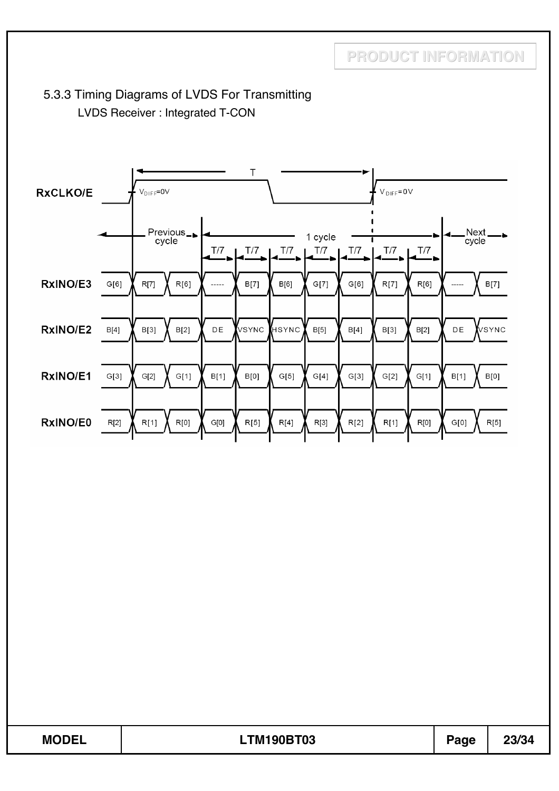### 5.3.3 Timing Diagrams of LVDS For Transmitting LVDS Receiver : Integrated T-CON



| <b>MODEL</b><br>FBIJAARTAA<br>M<br><b>***</b><br>JEL.<br><b>YUB</b><br>LI<br>∕ I ∪ડ<br>age | ו חו חח<br>29794 |
|--------------------------------------------------------------------------------------------|------------------|
|--------------------------------------------------------------------------------------------|------------------|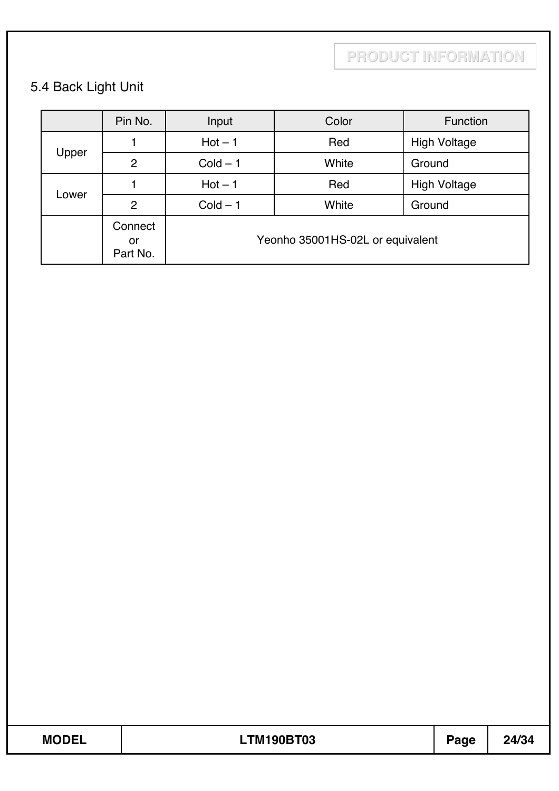# 5.4 Back Light Unit

|       | Pin No.                   | Input      | Color                            | Function            |
|-------|---------------------------|------------|----------------------------------|---------------------|
|       |                           | $Hot - 1$  | Red                              | <b>High Voltage</b> |
| Upper | $\overline{2}$            | $Cold - 1$ | White                            | Ground              |
| Lower |                           | $Hot - 1$  | Red                              | <b>High Voltage</b> |
|       | $\overline{2}$            | $Cold - 1$ | Ground                           |                     |
|       | Connect<br>or<br>Part No. |            | Yeonho 35001HS-02L or equivalent |                     |

| <b>MODEI</b> | <b>LTM190BT03</b> | <b>Page</b> | つハパン |
|--------------|-------------------|-------------|------|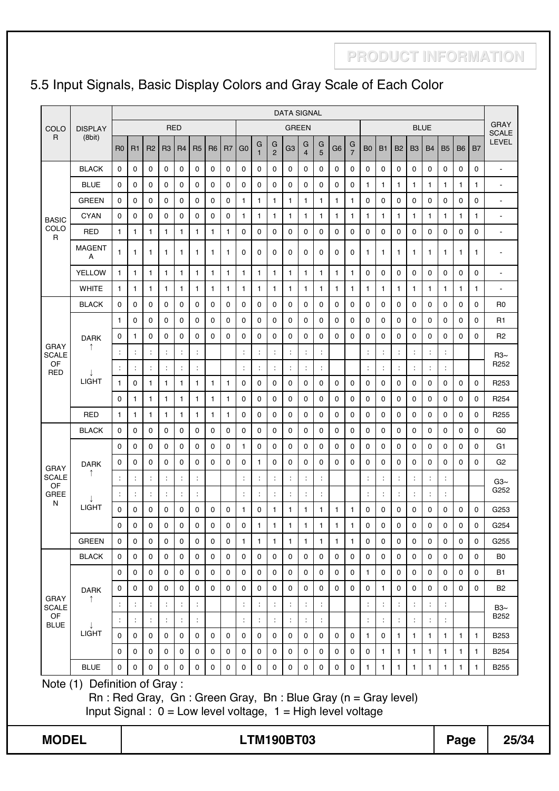# 5.5 Input Signals, Basic Display Colors and Gray Scale of Each Color

|                             |                                                                                                                                                                        |                             |                            |                                              |                |                            |                                  |                |                            |                                  |                     |                            | <b>DATA SIGNAL</b>         |                            |                                    |                            |                            |                      |                                        |              |                      |                                  |                  |                            |                |                             |
|-----------------------------|------------------------------------------------------------------------------------------------------------------------------------------------------------------------|-----------------------------|----------------------------|----------------------------------------------|----------------|----------------------------|----------------------------------|----------------|----------------------------|----------------------------------|---------------------|----------------------------|----------------------------|----------------------------|------------------------------------|----------------------------|----------------------------|----------------------|----------------------------------------|--------------|----------------------|----------------------------------|------------------|----------------------------|----------------|-----------------------------|
| COLO                        | <b>DISPLAY</b>                                                                                                                                                         |                             |                            |                                              |                | <b>RED</b>                 |                                  |                |                            |                                  |                     |                            | <b>GREEN</b>               |                            |                                    |                            |                            |                      |                                        |              |                      | <b>BLUE</b>                      |                  |                            |                | <b>GRAY</b><br><b>SCALE</b> |
| R                           | (8bit)                                                                                                                                                                 | R <sub>0</sub>              | R1                         | R <sub>2</sub>                               | R <sub>3</sub> | R <sub>4</sub>             | R <sub>5</sub>                   | R <sub>6</sub> | R <sub>7</sub>             | G <sub>0</sub>                   | G<br>$\overline{1}$ | G<br>$\overline{2}$        | G <sub>3</sub>             | G<br>$\overline{4}$        | G<br>5                             | G <sub>6</sub>             | G<br>$\overline{7}$        | B <sub>0</sub>       | <b>B1</b>                              | <b>B2</b>    | B <sub>3</sub>       | <b>B4</b>                        | <b>B5</b>        | <b>B6</b>                  | B <sub>7</sub> | <b>LEVEL</b>                |
|                             | <b>BLACK</b>                                                                                                                                                           | $\Omega$                    | $\mathbf 0$                | 0                                            | 0              | $\mathbf 0$                | $\mathbf 0$                      | 0              | $\mathbf 0$                | 0                                | 0                   | 0                          | $\mathbf 0$                | 0                          | 0                                  | 0                          | $\mathbf 0$                | 0                    | 0                                      | $\mathbf 0$  | 0                    | 0                                | $\mathbf 0$      | $\mathbf 0$                | $\mathbf 0$    | $\overline{\phantom{a}}$    |
|                             | <b>BLUE</b>                                                                                                                                                            | $\mathbf 0$                 | $\mathbf 0$                | 0                                            | $\mathbf 0$    | 0                          | $\Omega$                         | 0              | 0                          | 0                                | 0                   | 0                          | $\mathbf 0$                | $\mathbf 0$                | 0                                  | 0                          | 0                          | $\mathbf{1}$         | $\mathbf{1}$                           | $\mathbf{1}$ | $\mathbf{1}$         | 1                                | $\mathbf{1}$     | $\mathbf{1}$               | $\mathbf{1}$   | $\blacksquare$              |
|                             | <b>GREEN</b>                                                                                                                                                           | $\Omega$                    | $\mathbf 0$                | $\mathbf 0$                                  | 0              | $\mathbf 0$                | $\Omega$                         | 0              | $\mathbf 0$                | $\mathbf{1}$                     | $\mathbf{1}$        | 1                          | $\mathbf{1}$               | 1                          | $\mathbf{1}$                       | $\mathbf{1}$               | 1                          | 0                    | $\Omega$                               | $\mathbf 0$  | 0                    | 0                                | $\mathbf 0$      | $\mathbf 0$                | 0              | $\blacksquare$              |
| <b>BASIC</b>                | <b>CYAN</b>                                                                                                                                                            | $\mathbf 0$                 | 0                          | 0                                            | 0              | 0                          | 0                                | 0              | 0                          | 1                                | 1                   | 1                          | $\mathbf{1}$               | 1                          | $\mathbf{1}$                       | $\mathbf{1}$               | 1                          | 1                    | $\mathbf{1}$                           | $\mathbf{1}$ | 1                    | 1                                | $\mathbf{1}$     | 1                          | 1              | $\blacksquare$              |
| COLO<br>R                   | <b>RED</b>                                                                                                                                                             | $\mathbf{1}$                | 1                          | $\mathbf{1}$                                 | $\mathbf{1}$   | 1                          | 1                                | 1              | $\mathbf{1}$               | 0                                | 0                   | 0                          | 0                          | 0                          | 0                                  | 0                          | 0                          | 0                    | 0                                      | 0            | 0                    | 0                                | 0                | 0                          | 0              | $\overline{\phantom{a}}$    |
|                             | <b>MAGENT</b><br>A                                                                                                                                                     | $\mathbf{1}$                | 1                          | 1                                            | $\mathbf{1}$   | 1                          | $\mathbf{1}$                     | 1              | $\mathbf{1}$               | 0                                | 0                   | 0                          | $\mathbf 0$                | $\Omega$                   | 0                                  | 0                          | 0                          | $\mathbf{1}$         | $\mathbf{1}$                           | 1            | $\mathbf 1$          | $\mathbf{1}$                     | $\mathbf{1}$     | 1                          | 1              | $\blacksquare$              |
|                             | <b>YELLOW</b>                                                                                                                                                          | 1                           | 1                          | $\mathbf{1}$                                 | 1              | $\mathbf{1}$               | $\mathbf{1}$                     | 1              | $\mathbf{1}$               | $\mathbf{1}$                     | 1                   | 1                          | $\mathbf{1}$               | 1                          | $\mathbf{1}$                       | $\mathbf{1}$               | 1                          | 0                    | 0                                      | 0            | 0                    | 0                                | $\mathbf 0$      | 0                          | 0              | $\blacksquare$              |
|                             | <b>WHITE</b>                                                                                                                                                           | $\mathbf{1}$                | $\mathbf{1}$               | $\mathbf{1}$                                 | $\mathbf{1}$   | $\mathbf{1}$               | $\mathbf{1}$                     | $\mathbf{1}$   | $\mathbf{1}$               | $\mathbf{1}$                     | 1                   | $\mathbf{1}$               | $\mathbf{1}$               | 1                          | $\mathbf{1}$                       | $\mathbf{1}$               | 1                          | $\mathbf{1}$         | $\mathbf{1}$                           | $\mathbf{1}$ | $\mathbf{1}$         | $\mathbf{1}$                     | $\mathbf{1}$     | 1                          | $\mathbf{1}$   | $\blacksquare$              |
|                             | <b>BLACK</b>                                                                                                                                                           | $\Omega$                    | $\mathbf 0$                | $\Omega$                                     | $\Omega$       | $\Omega$                   | $\Omega$                         | $\Omega$       | $\Omega$                   | $\Omega$                         | 0                   | $\Omega$                   | $\Omega$                   | $\mathbf 0$                | $\Omega$                           | $\Omega$                   | $\Omega$                   | 0                    | $\Omega$                               | $\Omega$     | 0                    | $\Omega$                         | $\Omega$         | $\mathbf{0}$               | 0              | R <sub>0</sub>              |
|                             |                                                                                                                                                                        | 1                           | 0                          | 0                                            | 0              | 0                          | 0                                | 0              | 0                          | 0                                | 0                   | 0                          | 0                          | 0                          | 0                                  | 0                          | 0                          | 0                    | 0                                      | 0            | 0                    | 0                                | 0                | 0                          | 0              | R <sub>1</sub>              |
|                             | <b>DARK</b>                                                                                                                                                            | $\mathbf 0$                 | $\mathbf{1}$               | 0                                            | 0              | 0                          | 0                                | 0              | 0                          | 0                                | 0                   | 0                          | $\mathbf 0$                | $\mathbf 0$                | 0                                  | 0                          | 0                          | 0                    | 0                                      | 0            | 0                    | 0                                | 0                | 0                          | $\mathbf 0$    | R <sub>2</sub>              |
| <b>GRAY</b><br><b>SCALE</b> | ↑                                                                                                                                                                      | ÷                           | ÷                          | $\ddot{\phantom{a}}$                         | ÷              | ÷                          | $\ddot{\phantom{a}}$             |                |                            | ÷                                | t                   | ÷                          | ÷                          | ÷                          | ÷                                  |                            |                            | t                    | $\ddot{\phantom{a}}$                   | ÷            | ÷                    | $\ddot{\cdot}$                   | ÷                |                            |                | $R3\sim$                    |
| OF<br><b>RED</b>            |                                                                                                                                                                        | ÷                           |                            | $\ddot{\cdot}$                               | $\ddot{\cdot}$ |                            | $\ddot{ }$                       |                |                            | $\ddot{\cdot}$                   |                     | ÷                          | $\ddot{\cdot}$             | $\ddot{\cdot}$             | t                                  |                            |                            |                      | $\ddot{\phantom{a}}$                   | ÷            | ÷                    | $\ddot{\cdot}$                   | t                |                            |                | R <sub>252</sub>            |
|                             | <b>LIGHT</b>                                                                                                                                                           | $\mathbf{1}$                | 0                          | $\mathbf{1}$                                 | $\mathbf{1}$   | $\mathbf{1}$               | $\mathbf{1}$                     | $\mathbf{1}$   | $\mathbf{1}$               | 0                                | 0                   | $\Omega$                   | $\mathbf 0$                | $\mathbf 0$                | 0                                  | 0                          | 0                          | 0                    | 0                                      | $\mathbf 0$  | 0                    | 0                                | $\Omega$         | $\mathbf{0}$               | $\mathbf 0$    | R <sub>253</sub>            |
|                             |                                                                                                                                                                        | 0                           | 1                          | $\mathbf{1}$                                 | 1              | $\mathbf{1}$               | 1                                | 1              | $\mathbf{1}$               | 0                                | 0                   | 0                          | 0                          | 0                          | 0                                  | 0                          | 0                          | 0                    | 0                                      | 0            | 0                    | 0                                | 0                | 0                          | $\mathbf 0$    | R <sub>254</sub>            |
|                             | <b>RED</b>                                                                                                                                                             | $\mathbf{1}$                | $\mathbf{1}$               | $\mathbf{1}$                                 | $\mathbf{1}$   | $\mathbf{1}$               | $\mathbf{1}$                     | $\mathbf{1}$   | $\mathbf{1}$               | 0                                | 0                   | 0                          | 0                          | 0                          | 0                                  | 0                          | 0                          | 0                    | 0                                      | 0            | 0                    | 0                                | 0                | 0                          | 0              | R <sub>255</sub>            |
|                             | <b>BLACK</b>                                                                                                                                                           | 0                           | 0                          | 0                                            | 0              | 0                          | 0                                | 0              | 0                          | 0                                | 0                   | 0                          | $\mathbf 0$                | 0                          | 0                                  | 0                          | 0                          | 0                    | 0                                      | 0            | 0                    | 0                                | 0                | 0                          | 0              | G <sub>0</sub>              |
|                             |                                                                                                                                                                        | $\mathbf{0}$                | 0                          | 0                                            | 0              | 0                          | 0                                | 0              | 0                          | 1                                | 0                   | 0                          | 0                          | 0                          | 0                                  | 0                          | 0                          | 0                    | 0                                      | 0            | 0                    | 0                                | 0                | 0                          | 0              | G1                          |
| <b>GRAY</b>                 | <b>DARK</b><br>↑                                                                                                                                                       | 0                           | 0                          | $\mathbf 0$                                  | $\Omega$       | $\Omega$                   | $\Omega$                         | $\Omega$       | $\Omega$                   | 0                                | 1                   | $\Omega$                   | $\mathbf 0$                | $\mathbf 0$                | 0                                  | $\Omega$                   | $\mathbf 0$                | 0                    | $\Omega$                               | $\mathbf 0$  | 0                    | 0                                | $\Omega$         | $\Omega$                   | $\mathbf 0$    | G <sub>2</sub>              |
| <b>SCALE</b><br>OF          |                                                                                                                                                                        | ÷                           |                            | $\ddot{\cdot}$                               | ÷              |                            | $\ddot{\cdot}$                   |                |                            | $\ddot{\cdot}$                   | $\cdot$             | $\ddot{\phantom{a}}$       | $\ddot{\cdot}$             | $\cdot$                    | Ì                                  |                            |                            | $\ddot{\phantom{a}}$ | $\ddot{\phantom{a}}$                   |              | $\ddot{\phantom{a}}$ | $\ddot{\cdot}$                   |                  |                            |                | $Ga2\sim$<br>G252           |
| GREE<br>N                   |                                                                                                                                                                        | ÷                           |                            | ċ                                            | ÷              |                            | $\ddot{\phantom{a}}$             |                |                            | $\ddot{\cdot}$                   | ċ                   | ÷                          | $\ddot{\cdot}$             | $\ddot{\phantom{a}}$       | t                                  |                            |                            |                      | $\ddot{\phantom{a}}$                   |              | ÷                    | ÷                                |                  |                            |                |                             |
|                             | LIGHT                                                                                                                                                                  | 0                           | 0                          | 0                                            | 0              | 0                          | 0                                | 0              | 0                          | 1                                | 0                   | $\mathbf{1}$               | $\mathbf{1}$               | 1                          | $\mathbf{1}$                       | $\mathbf{1}$               | 1                          | 0                    | 0                                      | 0            | 0                    | 0                                | 0                | 0                          | 0              | G253                        |
|                             |                                                                                                                                                                        | 0                           | 0                          | 0                                            | 0              | 0                          | 0                                | 0              | 0                          | 0                                | $\mathbf{1}$        | $\mathbf{1}$               | $\mathbf{1}$               | $\mathbf{1}$               | $\mathbf{1}$                       | $\mathbf{1}$               | $\mathbf{1}$               | 0                    | 0                                      | 0            | 0                    | 0                                | 0                | 0                          | 0              | G254                        |
|                             | <b>GREEN</b>                                                                                                                                                           | 0                           | $\mathbf 0$                | $\Omega$                                     | $\Omega$       | $\mathbf 0$                | $\mathbf 0$                      | 0              | $\mathbf 0$                | $\mathbf{1}$                     | 1                   | 1                          | $\mathbf{1}$               | $\mathbf{1}$               | $\mathbf{1}$                       | $\mathbf{1}$               | $\mathbf{1}$               | 0                    | 0                                      | $\mathbf 0$  | $\Omega$             | $\Omega$                         | $\Omega$         | $\mathbf 0$                | $\mathbf 0$    | G255                        |
|                             | <b>BLACK</b>                                                                                                                                                           | $\mathsf{O}$<br>$\mathbf 0$ | $\mathbf 0$<br>$\mathsf 0$ | 0<br>0                                       | 0<br>0         | $\mathsf 0$<br>$\mathbf 0$ | $\pmb{0}$<br>0                   | 0<br>0         | $\mathbf 0$<br>$\mathbf 0$ | $\mathsf 0$<br>0                 | 0<br>0              | $\mathbf 0$<br>$\mathbf 0$ | $\mathbf 0$<br>$\mathbf 0$ | $\mathsf 0$<br>$\mathsf 0$ | $\mathsf{O}\xspace$<br>$\mathbf 0$ | $\mathsf 0$<br>$\mathsf 0$ | $\mathsf 0$<br>$\mathsf 0$ | 0                    | 0<br>0                                 | 0<br>0       | 0<br>0               | 0<br>0                           | $\mathbf 0$<br>0 | $\mathsf 0$<br>$\mathbf 0$ | 0<br>0         | B <sub>0</sub>              |
|                             |                                                                                                                                                                        | 0                           | 0                          | 0                                            | 0              | 0                          | $\pmb{0}$                        | 0              | $\mathbf 0$                | 0                                | 0                   | 0                          | $\mathsf 0$                | $\pmb{0}$                  | 0                                  | $\mathbf 0$                | $\mathbf 0$                | $\mathbf{1}$<br>0    | $\mathbf{1}$                           | 0            | 0                    | 0                                | 0                | $\mathbf 0$                | $\pmb{0}$      | <b>B1</b><br><b>B2</b>      |
| <b>GRAY</b>                 | <b>DARK</b>                                                                                                                                                            |                             |                            |                                              |                |                            |                                  |                |                            |                                  |                     |                            | $\ddot{\cdot}$             |                            |                                    |                            |                            |                      |                                        |              |                      |                                  |                  |                            |                |                             |
| <b>SCALE</b><br>OF          |                                                                                                                                                                        |                             |                            | $\ddot{\phantom{a}}$<br>$\ddot{\phantom{a}}$ | t              |                            | $\ddot{\cdot}$<br>$\ddot{\cdot}$ |                |                            | $\ddot{\cdot}$<br>$\ddot{\cdot}$ |                     |                            | $\ddot{\phantom{a}}$       | $\ddot{\phantom{a}}$       |                                    |                            |                            |                      | $\ddot{\cdot}$<br>$\ddot{\phantom{a}}$ |              |                      | $\ddot{\cdot}$<br>$\ddot{\cdot}$ |                  |                            |                | $B3\sim$<br>B252            |
| <b>BLUE</b>                 | <b>LIGHT</b>                                                                                                                                                           | $\mathbf 0$                 | $\mathbf 0$                | $\mathbf 0$                                  | 0              | $\mathbf 0$                | $\mathbf 0$                      | $\mathbf 0$    | $\mathbf 0$                | 0                                | $\mathbf 0$         | 0                          | $\mathbf 0$                | $\mathsf 0$                | $\mathbf 0$                        | $\mathbf 0$                | $\mathbf 0$                | $\mathbf{1}$         | 0                                      | $\mathbf{1}$ | $\mathbf{1}$         | $\mathbf{1}$                     | $\mathbf{1}$     | $\mathbf{1}$               | $\mathbf{1}$   | B253                        |
|                             |                                                                                                                                                                        | $\mathbf 0$                 | $\mathsf 0$                | 0                                            | 0              | $\mathbf 0$                | 0                                | 0              | $\mathbf 0$                | 0                                | 0                   | $\mathbf 0$                | $\mathbf 0$                | $\mathsf 0$                | $\mathbf 0$                        | $\mathsf 0$                | $\mathsf 0$                | 0                    | $\mathbf{1}$                           | $\mathbf{1}$ | $\mathbf{1}$         | $\mathbf{1}$                     | $\mathbf{1}$     | $\mathbf{1}$               | $\mathbf{1}$   | B254                        |
|                             | <b>BLUE</b>                                                                                                                                                            | 0                           | 0                          | 0                                            | 0              | 0                          | $\mathbf 0$                      | 0              | $\mathbf 0$                | 0                                | 0                   | $\mathsf{O}$               | $\mathsf{O}\xspace$        | 0                          | $\mathsf{O}$                       | $\mathsf 0$                | $\pmb{0}$                  | $\mathbf{1}$         | $\mathbf{1}$                           | $\mathbf{1}$ | $\mathbf{1}$         | $\mathbf{1}$                     | $\mathbf{1}$     | $\mathbf{1}$               | $\mathbf{1}$   | B255                        |
|                             | Note (1) Definition of Gray:<br>$Rn$ : Red Gray, Gn: Green Gray, Bn: Blue Gray ( $n =$ Gray level)<br>Input Signal : $0 = Low$ level voltage, $1 = High$ level voltage |                             |                            |                                              |                |                            |                                  |                |                            |                                  |                     |                            |                            |                            |                                    |                            |                            |                      |                                        |              |                      |                                  |                  |                            |                |                             |
| <b>MODEL</b>                |                                                                                                                                                                        |                             |                            |                                              |                |                            |                                  |                |                            |                                  |                     |                            | <b>LTM190BT03</b>          |                            |                                    |                            |                            |                      |                                        |              |                      |                                  |                  | Page                       |                | 25/34                       |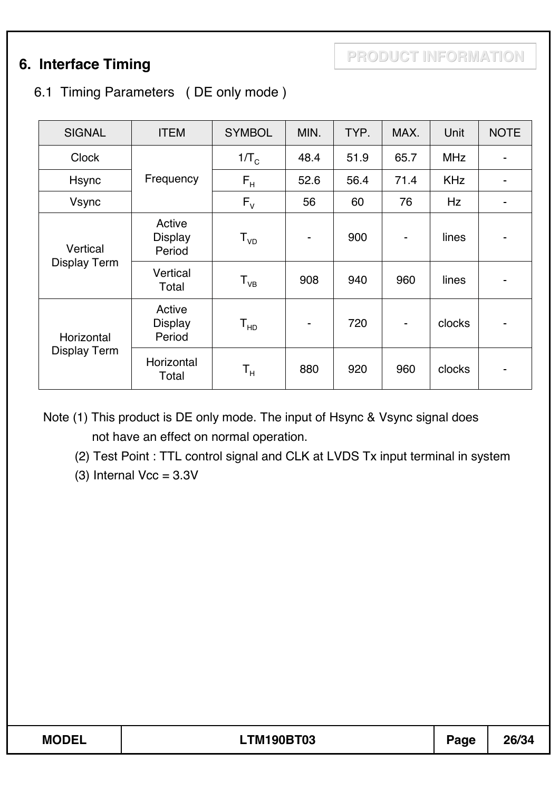### 6.1 Timing Parameters ( DE only mode )

| <b>SIGNAL</b>       | <b>ITEM</b>                        | <b>SYMBOL</b>               | MIN. | TYP. | MAX.           | Unit       | <b>NOTE</b>                  |
|---------------------|------------------------------------|-----------------------------|------|------|----------------|------------|------------------------------|
| <b>Clock</b>        |                                    | $1/T_c$                     | 48.4 | 51.9 | 65.7           | <b>MHz</b> | $\overline{\phantom{a}}$     |
| Hsync               | Frequency                          | $F_H$                       | 52.6 | 56.4 | 71.4           | <b>KHz</b> |                              |
| <b>Vsync</b>        |                                    | $F_{V}$                     | 56   | 60   | 76             | Hz         | -                            |
| Vertical            | Active<br><b>Display</b><br>Period | $\mathsf{T}_{\mathsf{VD}}$  | ۰    | 900  | $\blacksquare$ | lines      |                              |
| <b>Display Term</b> | Vertical<br>Total                  | $T_{VB}$                    | 908  | 940  | 960            | lines      |                              |
| Horizontal          | Active<br><b>Display</b><br>Period | ${\mathsf T}_{\mathsf{HD}}$ | ۰    | 720  | $\blacksquare$ | clocks     | $\qquad \qquad \blacksquare$ |
| <b>Display Term</b> | Horizontal<br>Total                | $\mathsf{T}_\mathsf{H}$     | 880  | 920  | 960            | clocks     |                              |

Note (1) This product is DE only mode. The input of Hsync & Vsync signal does not have an effect on normal operation.

(2) Test Point : TTL control signal and CLK at LVDS Tx input terminal in system

(3) Internal  $Vcc = 3.3V$ 

| <b>MODEL</b> | <b>TM190BT03</b> | Page | 26/34 |
|--------------|------------------|------|-------|
|              |                  |      |       |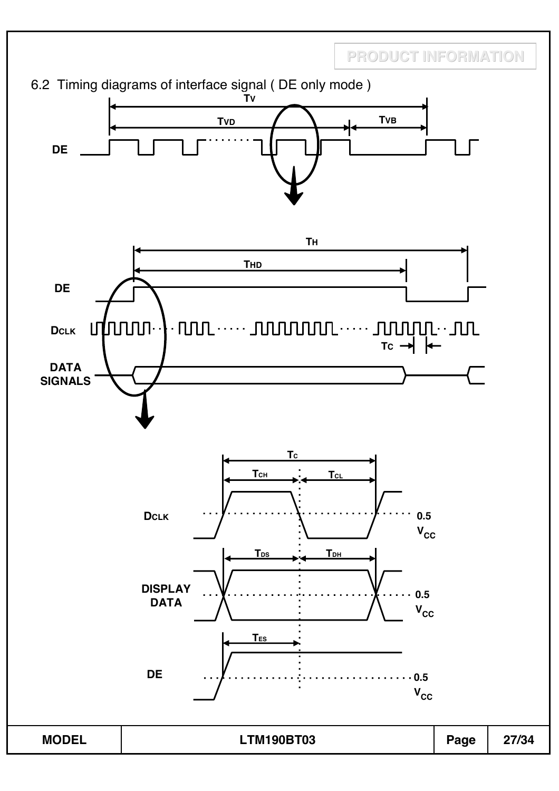6.2 Timing diagrams of interface signal ( DE only mode ) **TV TVB TVD DE TH THD DE**  $\begin{array}{c} \cdot \text{HUL}\cdots\cdot \text{JUL} \text{HUL} \cdots\cdot \text{JUL} \cdots \text{HUL} \cdots \text{HUL} \end{array}$ uthonon **DCLK DATA SIGNALS TC** T<sub>CH</sub> **T<sub>CL</sub> DCLK 0.5**   $V_{\text{CC}}$ **TDS TDH DISPLAY 0.5 DATA**  $V_{\text{CC}}$ **TES DE 0.5**  . . . . . . . . . .  $V_{CC}$ 

**MODEL LTM190BT03 Page 27/34**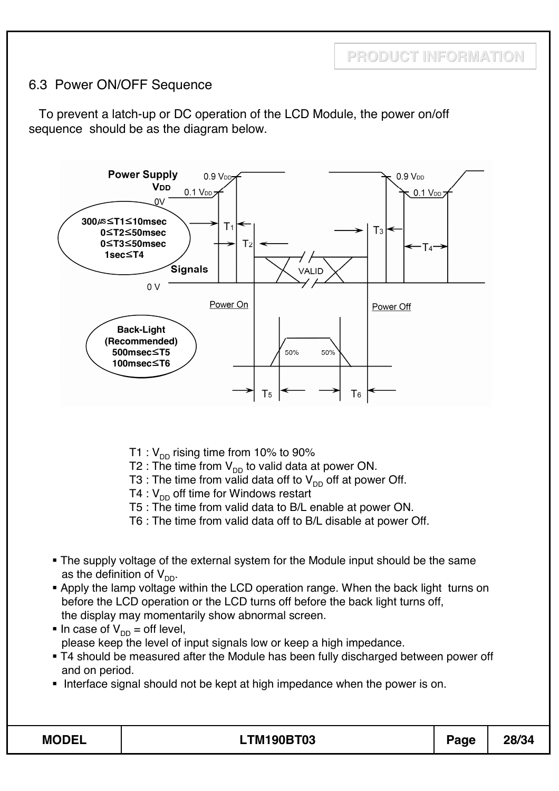#### 6.3 Power ON/OFF Sequence

To prevent a latch-up or DC operation of the LCD Module, the power on/off sequence should be as the diagram below.



- T1 :  $V_{DD}$  rising time from 10% to 90%
- T2 : The time from  $V_{DD}$  to valid data at power ON.
- T3 : The time from valid data off to  $V_{DD}$  off at power Off.
- T4 :  $V_{DD}$  off time for Windows restart
- T5 : The time from valid data to B/L enable at power ON.
- T6 : The time from valid data off to B/L disable at power Off.
- The supply voltage of the external system for the Module input should be the same as the definition of  $V_{DD}$ .
- Apply the lamp voltage within the LCD operation range. When the back light turns on before the LCD operation or the LCD turns off before the back light turns off, the display may momentarily show abnormal screen.
- In case of  $V_{DD} =$  off level, please keep the level of input signals low or keep a high impedance.
- T4 should be measured after the Module has been fully discharged between power off and on period.
- Interface signal should not be kept at high impedance when the power is on.

|--|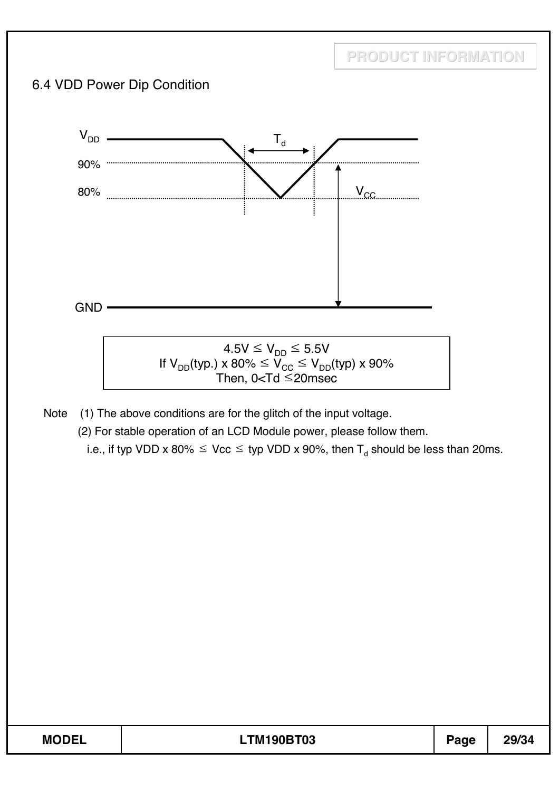

| <b>MODEL</b> | <b>TM190BT03</b> | Page | 29/34 |
|--------------|------------------|------|-------|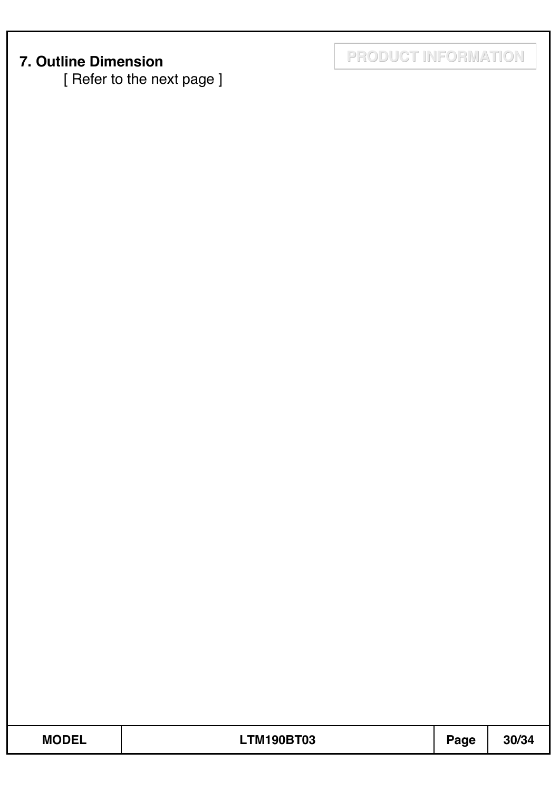[ Refer to the next page ]

**7. Outline Dimension PRODUCT INFORMATION**

| w<br>I<br>m.<br>M. |  |
|--------------------|--|
|--------------------|--|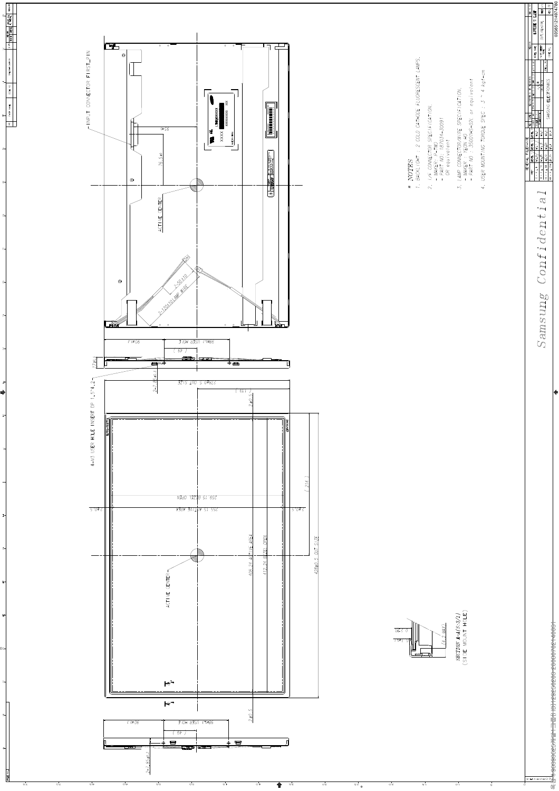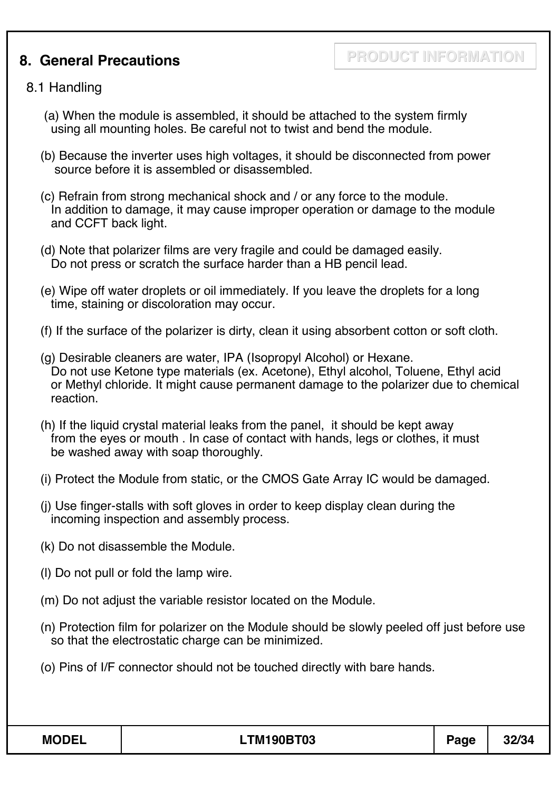### **8. General Precautions**

**PRODUCT INFORMATION**

#### 8.1 Handling

- (a) When the module is assembled, it should be attached to the system firmly using all mounting holes. Be careful not to twist and bend the module.
- (b) Because the inverter uses high voltages, it should be disconnected from power source before it is assembled or disassembled.
- (c) Refrain from strong mechanical shock and / or any force to the module. In addition to damage, it may cause improper operation or damage to the module and CCFT back light.
- (d) Note that polarizer films are very fragile and could be damaged easily. Do not press or scratch the surface harder than a HB pencil lead.
- (e) Wipe off water droplets or oil immediately. If you leave the droplets for a long time, staining or discoloration may occur.
- (f) If the surface of the polarizer is dirty, clean it using absorbent cotton or soft cloth.
- (g) Desirable cleaners are water, IPA (Isopropyl Alcohol) or Hexane. Do not use Ketone type materials (ex. Acetone), Ethyl alcohol, Toluene, Ethyl acid or Methyl chloride. It might cause permanent damage to the polarizer due to chemical reaction.
- (h) If the liquid crystal material leaks from the panel, it should be kept away from the eyes or mouth . In case of contact with hands, legs or clothes, it must be washed away with soap thoroughly.
- (i) Protect the Module from static, or the CMOS Gate Array IC would be damaged.
- (j) Use finger-stalls with soft gloves in order to keep display clean during the incoming inspection and assembly process.
- (k) Do not disassemble the Module.
- (l) Do not pull or fold the lamp wire.
- (m) Do not adjust the variable resistor located on the Module.
- (n) Protection film for polarizer on the Module should be slowly peeled off just before use so that the electrostatic charge can be minimized.
- (o) Pins of I/F connector should not be touched directly with bare hands.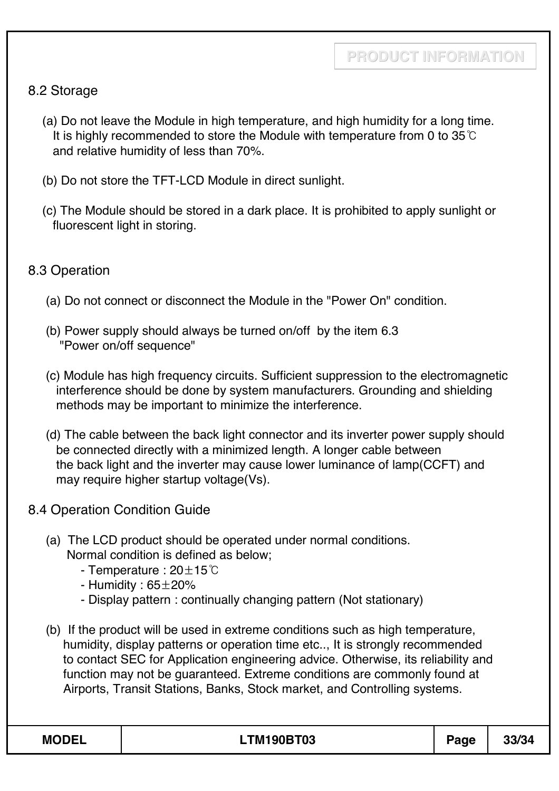#### 8.2 Storage

- (a) Do not leave the Module in high temperature, and high humidity for a long time. It is highly recommended to store the Module with temperature from 0 to  $35^{\circ}$ C and relative humidity of less than 70%.
- (b) Do not store the TFT-LCD Module in direct sunlight.
- (c) The Module should be stored in a dark place. It is prohibited to apply sunlight or fluorescent light in storing.

#### 8.3 Operation

- (a) Do not connect or disconnect the Module in the "Power On" condition.
- (b) Power supply should always be turned on/off by the item 6.3 "Power on/off sequence"
- (c) Module has high frequency circuits. Sufficient suppression to the electromagnetic interference should be done by system manufacturers. Grounding and shielding methods may be important to minimize the interference.
- (d) The cable between the back light connector and its inverter power supply should be connected directly with a minimized length. A longer cable between the back light and the inverter may cause lower luminance of lamp(CCFT) and may require higher startup voltage(Vs).
- 8.4 Operation Condition Guide
	- (a) The LCD product should be operated under normal conditions. Normal condition is defined as below;
		- Temperature :  $20\pm15^{\circ}$ C
		- Humidity :  $65\pm20\%$
		- Display pattern : continually changing pattern (Not stationary)
	- (b) If the product will be used in extreme conditions such as high temperature, humidity, display patterns or operation time etc.., It is strongly recommended to contact SEC for Application engineering advice. Otherwise, its reliability and function may not be guaranteed. Extreme conditions are commonly found at Airports, Transit Stations, Banks, Stock market, and Controlling systems.

| <b>MODEL</b> | <b>LTM190BT03</b> | Page | 33/34 |
|--------------|-------------------|------|-------|
|--------------|-------------------|------|-------|